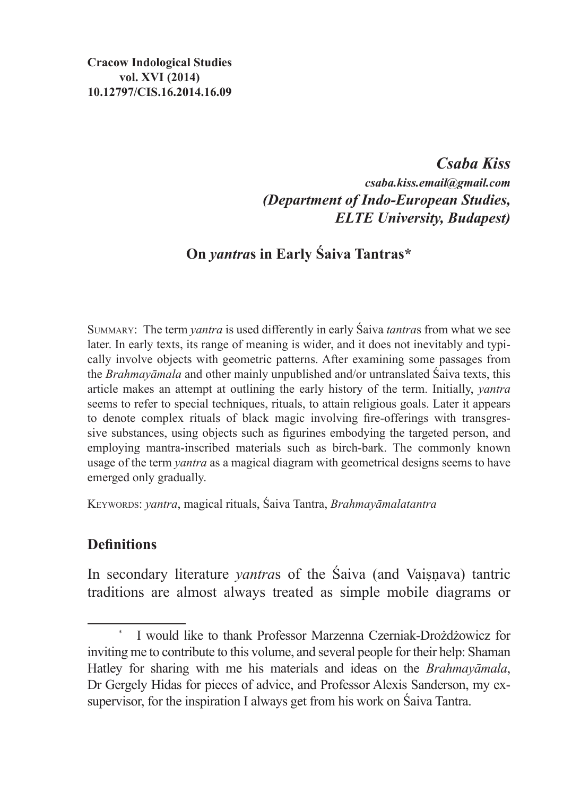## *Csaba Kiss csaba.kiss.email@gmail.com (Department of Indo-European Studies, ELTE University, Budapest)*

# **On** *yantra***s in Early Śaiva Tantras\***

Summary: The term *yantra* is used differently in early Śaiva *tantra*s from what we see later. In early texts, its range of meaning is wider, and it does not inevitably and typically involve objects with geometric patterns. After examining some passages from the *Brahmayāmala* and other mainly unpublished and/or untranslated Śaiva texts, this article makes an attempt at outlining the early history of the term. Initially, *yantra* seems to refer to special techniques, rituals, to attain religious goals. Later it appears to denote complex rituals of black magic involving fire-offerings with transgressive substances, using objects such as figurines embodying the targeted person, and employing mantra-inscribed materials such as birch-bark. The commonly known usage of the term *yantra* as a magical diagram with geometrical designs seems to have emerged only gradually.

Keywords: *yantra*, magical rituals, Śaiva Tantra, *Brahmayāmalatantra*

### **Definitions**

In secondary literature *vantras* of the Saiva (and Vaisnava) tantric traditions are almost always treated as simple mobile diagrams or

I would like to thank Professor Marzenna Czerniak-Drożdżowicz for inviting me to contribute to this volume, and several people for their help: Shaman Hatley for sharing with me his materials and ideas on the *Brahmayāmala*, Dr Gergely Hidas for pieces of advice, and Professor Alexis Sanderson, my exsupervisor, for the inspiration I always get from his work on Śaiva Tantra.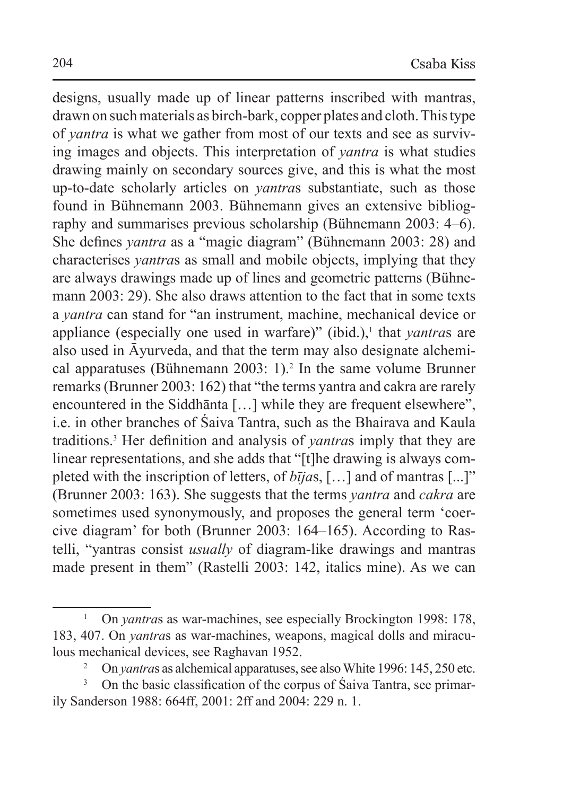designs, usually made up of linear patterns inscribed with mantras, drawn on such materials as birch-bark, copper plates and cloth. Thistype of *yantra* is what we gather from most of our texts and see as surviving images and objects. This interpretation of *yantra* is what studies drawing mainly on secondary sources give, and this is what the most up-to-date scholarly articles on *yantra*s substantiate, such as those found in Bühnemann 2003. Bühnemann gives an extensive bibliography and summarises previous scholarship (Bühnemann 2003: 4–6). She defines *yantra* as a "magic diagram" (Bühnemann 2003: 28) and characterises *yantra*s as small and mobile objects, implying that they are always drawings made up of lines and geometric patterns (Bühnemann 2003: 29). She also draws attention to the fact that in some texts a *yantra* can stand for "an instrument, machine, mechanical device or appliance (especially one used in warfare)" (ibid.),<sup>1</sup> that *yantras* are also used in Āyurveda, and that the term may also designate alchemical apparatuses (Bühnemann 2003: 1).<sup>2</sup> In the same volume Brunner remarks (Brunner 2003: 162) that "the terms yantra and cakra are rarely encountered in the Siddhānta […] while they are frequent elsewhere", i.e. in other branches of Śaiva Tantra, such as the Bhairava and Kaula traditions.3 Her definition and analysis of *yantra*s imply that they are linear representations, and she adds that "[t]he drawing is always completed with the inscription of letters, of *bīja*s, […] and of mantras [...]" (Brunner 2003: 163). She suggests that the terms *yantra* and *cakra* are sometimes used synonymously, and proposes the general term 'coercive diagram' for both (Brunner 2003: 164–165). According to Rastelli, "yantras consist *usually* of diagram-like drawings and mantras made present in them" (Rastelli 2003: 142, italics mine). As we can

<sup>&</sup>lt;sup>1</sup> On *yantras* as war-machines, see especially Brockington 1998: 178, 183, 407. On *yantra*s as war-machines, weapons, magical dolls and miraculous mechanical devices, see Raghavan 1952.

<sup>2</sup> On *yantra*s as alchemical apparatuses, see also White 1996: 145, 250 etc.

<sup>&</sup>lt;sup>3</sup> On the basic classification of the corpus of Śaiva Tantra, see primarily Sanderson 1988: 664ff, 2001: 2ff and 2004: 229 n. 1.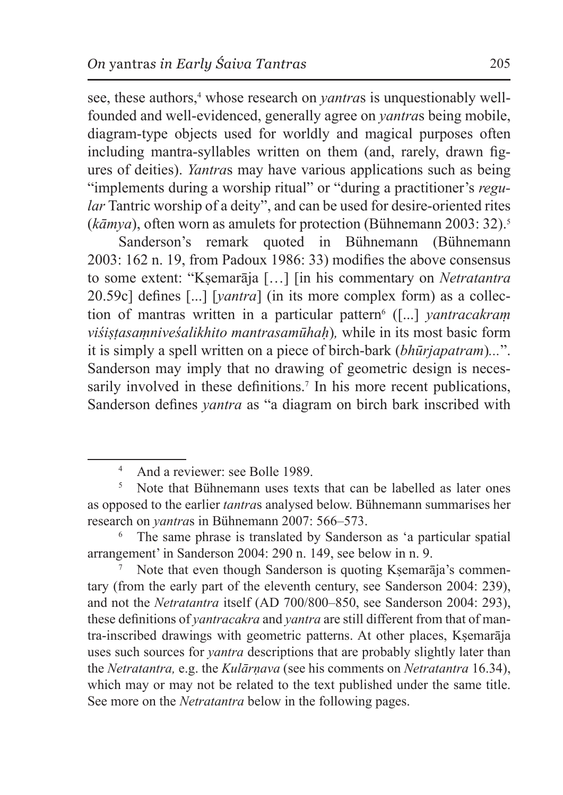see, these authors,<sup>4</sup> whose research on *yantras* is unquestionably wellfounded and well-evidenced, generally agree on *yantra*s being mobile, diagram-type objects used for worldly and magical purposes often including mantra-syllables written on them (and, rarely, drawn figures of deities). *Yantra*s may have various applications such as being "implements during a worship ritual" or "during a practitioner's *regular* Tantric worship of a deity", and can be used for desire-oriented rites (*kāmya*), often worn as amulets for protection (Bühnemann 2003: 32).5

Sanderson's remark quoted in Bühnemann (Bühnemann 2003: 162 n. 19, from Padoux 1986: 33) modifies the above consensus to some extent: "Kṣemarāja […] [in his commentary on *Netratantra*  20.59c] defines [...] [*yantra*] (in its more complex form) as a collection of mantras written in a particular pattern<sup>6</sup> ([...] *yantracakram viśiṣṭasaṃniveśalikhito mantrasamūhaḥ*)*,* while in its most basic form it is simply a spell written on a piece of birch-bark (*bhūrjapatram*)*...*". Sanderson may imply that no drawing of geometric design is necessarily involved in these definitions.<sup>7</sup> In his more recent publications, Sanderson defines *yantra* as "a diagram on birch bark inscribed with

Note that even though Sanderson is quoting Kṣemarāja's commentary (from the early part of the eleventh century, see Sanderson 2004: 239), and not the *Netratantra* itself (AD 700/800–850, see Sanderson 2004: 293), these definitions of *yantracakra* and *yantra* are still different from that of mantra-inscribed drawings with geometric patterns. At other places, Kṣemarāja uses such sources for *yantra* descriptions that are probably slightly later than the *Netratantra,* e.g. the *Kulārṇava* (see his comments on *Netratantra* 16.34), which may or may not be related to the text published under the same title. See more on the *Netratantra* below in the following pages.

<sup>4</sup> And a reviewer: see Bolle 1989.

<sup>5</sup> Note that Bühnemann uses texts that can be labelled as later ones as opposed to the earlier *tantra*s analysed below. Bühnemann summarises her research on *yantra*s in Bühnemann 2007: 566–573.

The same phrase is translated by Sanderson as 'a particular spatial arrangement' in Sanderson 2004: 290 n. 149, see below in n. 9.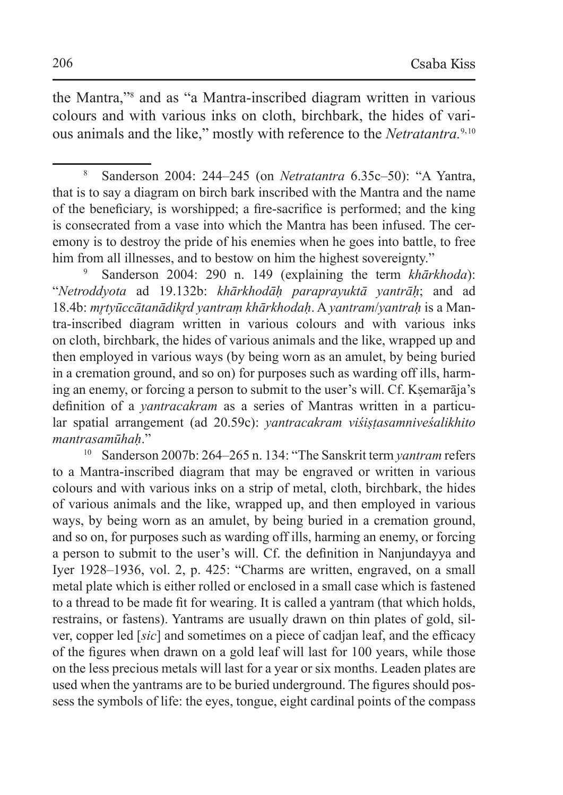the Mantra,"8 and as "a Mantra-inscribed diagram written in various colours and with various inks on cloth, birchbark, the hides of various animals and the like," mostly with reference to the *Netratantra.*9, 10

Sanderson 2004: 290 n. 149 (explaining the term *khārkhoda*): "*Netroddyota* ad 19.132b: *khārkhodāḥ paraprayuktā yantrāḥ*; and ad 18.4b: *mr̥tyūccātanādikr̥d yantraṃ khārkhodaḥ*. A *yantram*/*yantraḥ* is a Mantra-inscribed diagram written in various colours and with various inks on cloth, birchbark, the hides of various animals and the like, wrapped up and then employed in various ways (by being worn as an amulet, by being buried in a cremation ground, and so on) for purposes such as warding off ills, harming an enemy, or forcing a person to submit to the user's will. Cf. Ksemarāja's definition of a *yantracakram* as a series of Mantras written in a particular spatial arrangement (ad 20.59c): *yantracakram viśiṣṭasamniveśalikhito mantrasamūhaḥ*."

<sup>10</sup> Sanderson 2007b: 264–265 n. 134: "The Sanskrit term *yantram* refers to a Mantra-inscribed diagram that may be engraved or written in various colours and with various inks on a strip of metal, cloth, birchbark, the hides of various animals and the like, wrapped up, and then employed in various ways, by being worn as an amulet, by being buried in a cremation ground, and so on, for purposes such as warding off ills, harming an enemy, or forcing a person to submit to the user's will. Cf. the definition in Nanjundayya and Iyer 1928–1936, vol. 2, p. 425: "Charms are written, engraved, on a small metal plate which is either rolled or enclosed in a small case which is fastened to a thread to be made fit for wearing. It is called a yantram (that which holds, restrains, or fastens). Yantrams are usually drawn on thin plates of gold, silver, copper led [*sic*] and sometimes on a piece of cadjan leaf, and the efficacy of the figures when drawn on a gold leaf will last for 100 years, while those on the less precious metals will last for a year or six months. Leaden plates are used when the yantrams are to be buried underground. The figures should possess the symbols of life: the eyes, tongue, eight cardinal points of the compass

<sup>8</sup> Sanderson 2004: 244–245 (on *Netratantra* 6.35c–50): "A Yantra, that is to say a diagram on birch bark inscribed with the Mantra and the name of the beneficiary, is worshipped; a fire-sacrifice is performed; and the king is consecrated from a vase into which the Mantra has been infused. The ceremony is to destroy the pride of his enemies when he goes into battle, to free him from all illnesses, and to bestow on him the highest sovereignty."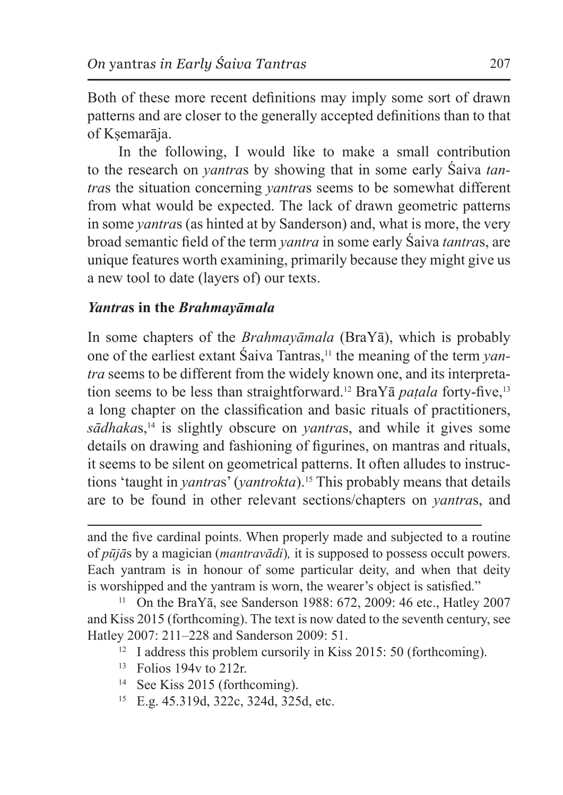Both of these more recent definitions may imply some sort of drawn patterns and are closer to the generally accepted definitions than to that of Ksemarāja.

In the following, I would like to make a small contribution to the research on *yantra*s by showing that in some early Śaiva *tantra*s the situation concerning *yantra*s seems to be somewhat different from what would be expected. The lack of drawn geometric patterns in some *yantra*s (as hinted at by Sanderson) and, what is more, the very broad semantic field of the term *yantra* in some early Śaiva *tantra*s, are unique features worth examining, primarily because they might give us a new tool to date (layers of) our texts.

### *Yantra***s in the** *Brahmayāmala*

In some chapters of the *Brahmayāmala* (BraYā), which is probably one of the earliest extant Śaiva Tantras,11 the meaning of the term *yantra* seems to be different from the widely known one, and its interpretation seems to be less than straightforward.<sup>12</sup> BraYa *paṭala* forty-five,<sup>13</sup> a long chapter on the classification and basic rituals of practitioners, *sādhaka*s,14 is slightly obscure on *yantra*s, and while it gives some details on drawing and fashioning of figurines, on mantras and rituals, it seems to be silent on geometrical patterns. It often alludes to instructions 'taught in *yantra*s' (*yantrokta*).15 This probably means that details are to be found in other relevant sections/chapters on *yantra*s, and

and the five cardinal points. When properly made and subjected to a routine of *pūjā*s by a magician (*mantravādi*)*,* it is supposed to possess occult powers. Each yantram is in honour of some particular deity, and when that deity is worshipped and the yantram is worn, the wearer's object is satisfied."

<sup>11</sup> On the BraY $\bar{a}$ , see Sanderson 1988: 672, 2009: 46 etc., Hatley 2007 and Kiss 2015 (forthcoming). The text is now dated to the seventh century, see Hatley 2007: 211–228 and Sanderson 2009: 51.

- <sup>12</sup> I address this problem cursorily in Kiss 2015: 50 (forthcoming).
- <sup>13</sup> Folios 194v to 212r.
- <sup>14</sup> See Kiss 2015 (forthcoming).
- <sup>15</sup> E.g. 45.319d, 322c, 324d, 325d, etc.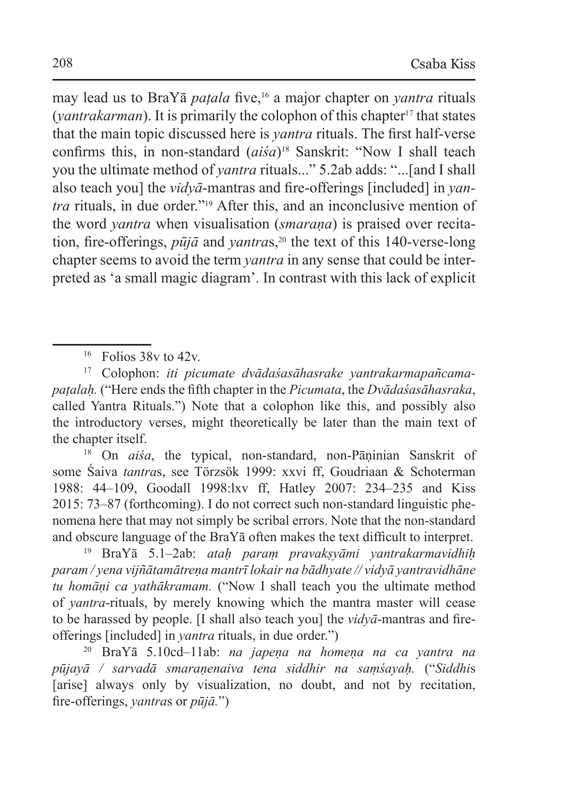may lead us to BraYā *paṭala* five,16 a major chapter on *yantra* rituals (*vantrakarman*). It is primarily the colophon of this chapter<sup>17</sup> that states that the main topic discussed here is *yantra* rituals. The first half-verse confirms this, in non-standard (*aiśa*)<sup>18</sup> Sanskrit: "Now I shall teach you the ultimate method of *yantra* rituals..." 5.2ab adds: "...[and I shall also teach you] the *vidyā*-mantras and fire-offerings [included] in *yantra* rituals, in due order."19 After this, and an inconclusive mention of the word *yantra* when visualisation (*smaraṇa*) is praised over recitation, fire-offerings,  $p\bar{u}j\bar{a}$  and *yantras*,<sup>20</sup> the text of this 140-verse-long chapter seems to avoid the term *yantra* in any sense that could be interpreted as 'a small magic diagram'. In contrast with this lack of explicit

<sup>17</sup> Colophon: *iti picumate dvādaśasāhasrake yantrakarmapañcamapaṭalaḥ.* ("Here ends the fifth chapter in the *Picumata*, the *Dvādaśasāhasraka*, called Yantra Rituals.") Note that a colophon like this, and possibly also the introductory verses, might theoretically be later than the main text of the chapter itself.

<sup>18</sup> On *aiśa*, the typical, non-standard, non-Pāninian Sanskrit of some Śaiva *tantra*s, see Törzsök 1999: xxvi ff, Goudriaan & Schoterman 1988: 44–109, Goodall 1998:lxv ff, Hatley 2007: 234–235 and Kiss 2015: 73–87 (forthcoming). I do not correct such non-standard linguistic phenomena here that may not simply be scribal errors. Note that the non-standard and obscure language of the BraYā often makes the text difficult to interpret.

<sup>19</sup> BraYā 5.1–2ab: *ataḥ paraṃ pravakṣyāmi yantrakarmavidhiḥ param / yena vijñātamātreṇa mantrī lokair na bādhyate // vidyā yantravidhāne tu homāṇi ca yathākramam.* ("Now I shall teach you the ultimate method of *yantra*-rituals, by merely knowing which the mantra master will cease to be harassed by people. [I shall also teach you] the *vidyā*-mantras and fireofferings [included] in *yantra* rituals, in due order.")

<sup>20</sup> BraYā 5.10cd–11ab: *na japeṇa na homeṇa na ca yantra na pūjayā / sarvadā smaraṇenaiva tena siddhir na saṃśayaḥ.* ("*Siddhi*s [arise] always only by visualization, no doubt, and not by recitation, fire-offerings, *yantra*s or *pūjā.*")

 $16$  Folios 38v to 42v.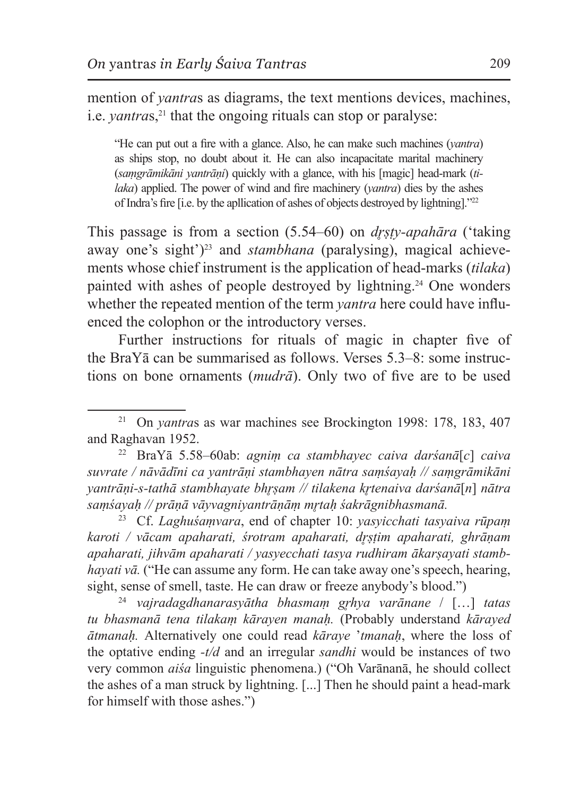mention of *yantra*s as diagrams, the text mentions devices, machines, i.e. *vantras*<sup>21</sup> that the ongoing rituals can stop or paralyse:

"He can put out a fire with a glance. Also, he can make such machines (*yantra*) as ships stop, no doubt about it. He can also incapacitate marital machinery (*saṃgrāmikāni yantrāṇi*) quickly with a glance, with his [magic] head-mark (*tilaka*) applied. The power of wind and fire machinery (*yantra*) dies by the ashes of Indra's fire [i.e. by the apllication of ashes of objects destroyed by lightning]."22

This passage is from a section (5.54–60) on *dr̥ṣṭy-apahāra* ('taking away one's sight')<sup>23</sup> and *stambhana* (paralysing), magical achievements whose chief instrument is the application of head-marks (*tilaka*) painted with ashes of people destroyed by lightning.24 One wonders whether the repeated mention of the term *yantra* here could have influenced the colophon or the introductory verses.

Further instructions for rituals of magic in chapter five of the BraY $\bar{a}$  can be summarised as follows. Verses  $5.3-8$ : some instructions on bone ornaments (*mudrā*). Only two of five are to be used

<sup>22</sup> BraYā 5.58–60ab: *agniṃ ca stambhayec caiva darśanā*[*c*] *caiva suvrate / nāvādīni ca yantrāṇi stambhayen nātra saṃśayaḥ // saṃgrāmikāni yantrāṇi-s-tathā stambhayate bhr̥ṣam // tilakena kr̥tenaiva darśanā*[*n*] *nātra saṃśayaḥ // prāṇā vāyvagniyantrāṇāṃ mr̥taḥ śakrāgnibhasmanā.*

<sup>23</sup> Cf. *Laghuśaṃvara*, end of chapter 10: *yasyicchati tasyaiva rūpaṃ karoti / vācam apaharati, śrotram apaharati, dr̥ṣṭim apaharati, ghrāṇam apaharati, jihvām apaharati / yasyecchati tasya rudhiram ākarṣayati stambhayati vā.* ("He can assume any form. He can take away one's speech, hearing, sight, sense of smell, taste. He can draw or freeze anybody's blood.")

<sup>24</sup> *vajradagdhanarasyātha bhasmaṃ gr̥hya varānane* / […] *tatas tu bhasmanā tena tilakaṃ kārayen manaḥ.* (Probably understand *kārayed ātmanaḥ.* Alternatively one could read *kāraye* '*tmanaḥ*, where the loss of the optative ending *-t/d* and an irregular *sandhi* would be instances of two very common *aiśa* linguistic phenomena.) ("Oh Varānanā, he should collect the ashes of a man struck by lightning. [...] Then he should paint a head-mark for himself with those ashes.")

<sup>21</sup> On *yantra*s as war machines see Brockington 1998: 178, 183, 407 and Raghavan 1952.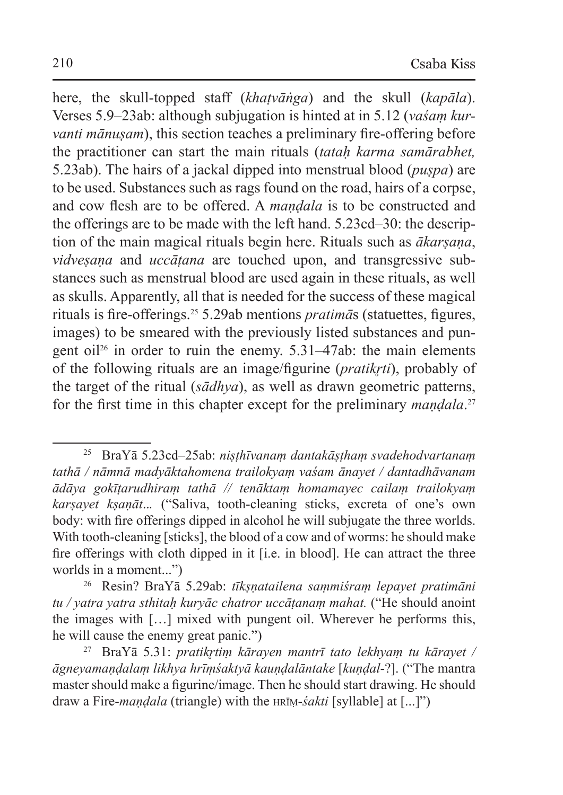here, the skull-topped staff (*khaṭvāṅga*) and the skull (*kapāla*). Verses 5.9–23ab: although subjugation is hinted at in 5.12 (*vaśaṃ kurvanti mānusam*), this section teaches a preliminary fire-offering before the practitioner can start the main rituals (*tataḥ karma samārabhet,*  5.23ab). The hairs of a jackal dipped into menstrual blood (*puṣpa*) are to be used. Substances such as rags found on the road, hairs of a corpse, and cow flesh are to be offered. A *maṇḍala* is to be constructed and the offerings are to be made with the left hand. 5.23cd–30: the description of the main magical rituals begin here. Rituals such as *ākarṣaṇa*, *vidveṣaṇa* and *uccāṭana* are touched upon, and transgressive substances such as menstrual blood are used again in these rituals, as well as skulls. Apparently, all that is needed for the success of these magical rituals is fire-offerings.25 5.29ab mentions *pratimā*s (statuettes, figures, images) to be smeared with the previously listed substances and pungent oil<sup>26</sup> in order to ruin the enemy.  $5.31-47ab$ : the main elements of the following rituals are an image/figurine (*pratikr̥ti*), probably of the target of the ritual (*sādhya*), as well as drawn geometric patterns, for the first time in this chapter except for the preliminary *maṇḍala*. 27

<sup>25</sup> BraYā 5.23cd–25ab: *niṣṭhīvanaṃ dantakāṣṭhaṃ svadehodvartanaṃ tathā / nāmnā madyāktahomena trailokyaṃ vaśam ānayet / dantadhāvanam ādāya gokīṭarudhiraṃ tathā // tenāktaṃ homamayec cailaṃ trailokyaṃ karṣayet kṣaṇāt*..*.* ("Saliva, tooth-cleaning sticks, excreta of one's own body: with fire offerings dipped in alcohol he will subjugate the three worlds. With tooth-cleaning [sticks], the blood of a cow and of worms: he should make fire offerings with cloth dipped in it [i.e. in blood]. He can attract the three worlds in a moment...")

<sup>26</sup> Resin? BraYā 5.29ab: *tīkṣṇatailena saṃmiśraṃ lepayet pratimāni tu / yatra yatra sthitaḥ kuryāc chatror uccāṭanaṃ mahat.* ("He should anoint the images with […] mixed with pungent oil. Wherever he performs this, he will cause the enemy great panic.")

<sup>27</sup> BraYā 5.31: *pratikr̥tiṃ kārayen mantrī tato lekhyaṃ tu kārayet / āgneyamaṇḍalaṃ likhya hrīṃśaktyā kauṇḍalāntake* [*kuṇḍal*-?]. ("The mantra master should make a figurine/image. Then he should start drawing. He should draw a Fire-*maṇḍala* (triangle) with the hrīṃ-*śakti* [syllable] at [...]")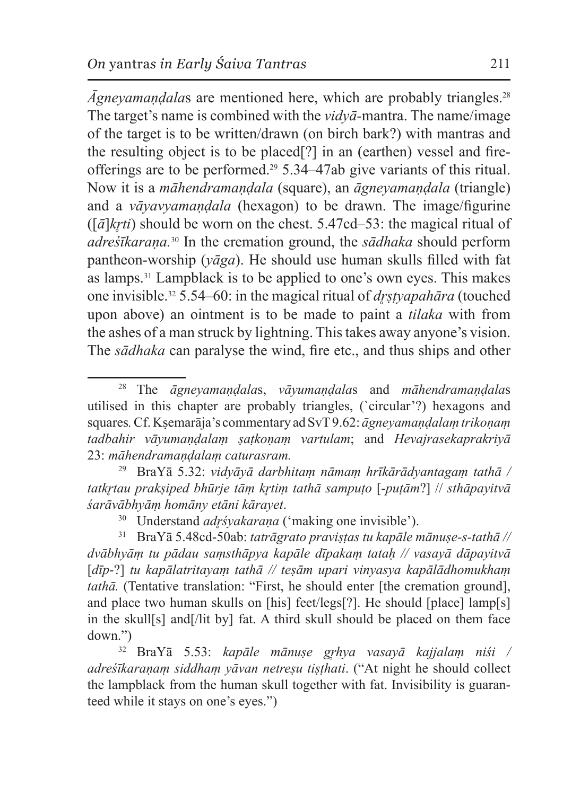*Āgneyamaṇḍala*s are mentioned here, which are probably triangles.28 The target's name is combined with the *vidyā-*mantra. The name/image of the target is to be written/drawn (on birch bark?) with mantras and the resulting object is to be placed[?] in an (earthen) vessel and fireofferings are to be performed.29 5.34–47ab give variants of this ritual. Now it is a *māhendramaṇḍala* (square), an *āgneyamaṇḍala* (triangle) and a *vāyavyamaṇḍala* (hexagon) to be drawn. The image/figurine  $(\lceil \bar{a} \rceil k r t i)$  should be worn on the chest. 5.47cd–53: the magical ritual of *adreśīkaraṇa.*30 In the cremation ground, the *sādhaka* should perform pantheon-worship (*yāga*). He should use human skulls filled with fat as lamps.31 Lampblack is to be applied to one's own eyes. This makes one invisible.32 5.54–60: in the magical ritual of *dr̥ṣṭyapahāra* (touched upon above) an ointment is to be made to paint a *tilaka* with from the ashes of a man struck by lightning. Thistakes away anyone's vision. The *sādhaka* can paralyse the wind, fire etc., and thus ships and other

<sup>28</sup> The *āgneyamaṇḍala*s, *vāyumaṇḍala*s and *māhendramaṇḍala*s utilised in this chapter are probably triangles, (`circular'?) hexagons and squares*.* Cf. Kṣemarāja's commentary ad SvT 9.62: *āgneyamaṇḍalaṃ trikoṇaṃ tadbahir vāyumaṇḍalaṃ ṣaṭkoṇaṃ vartulam*; and *Hevajrasekaprakriyā*  23: *māhendramaṇḍalaṃ caturasram.* 

<sup>29</sup> BraYā 5.32: *vidyāyā darbhitaṃ nāmaṃ hrīkārādyantagaṃ tathā / tatkr̥tau prakṣiped bhūrje tāṃ kr̥tiṃ tathā sampuṭo* [-*puṭām*?] // *sthāpayitvā śarāvābhyāṃ homāny etāni kārayet*.

<sup>&</sup>lt;sup>30</sup> Understand *adr*śyakarana ('making one invisible').

<sup>31</sup> BraYā 5.48cd-50ab: *tatrāgrato praviṣṭas tu kapāle mānuṣe-s-tathā // dvābhyāṃ tu pādau saṃsthāpya kapāle dīpakaṃ tataḥ // vasayā dāpayitvā*  [*dīp*-?] *tu kapālatritayaṃ tathā // teṣām upari vinyasya kapālādhomukhaṃ tathā*. (Tentative translation: "First, he should enter [the cremation ground], and place two human skulls on [his] feet/legs[?]. He should [place] lamp[s] in the skull[s] and[/lit by] fat. A third skull should be placed on them face down.")

<sup>32</sup> BraYā 5.53: *kapāle mānuṣe gr̥hya vasayā kajjalaṃ niśi / adreśīkaraṇaṃ siddhaṃ yāvan netreṣu tiṣṭhati*. ("At night he should collect the lampblack from the human skull together with fat. Invisibility is guaranteed while it stays on one's eyes.")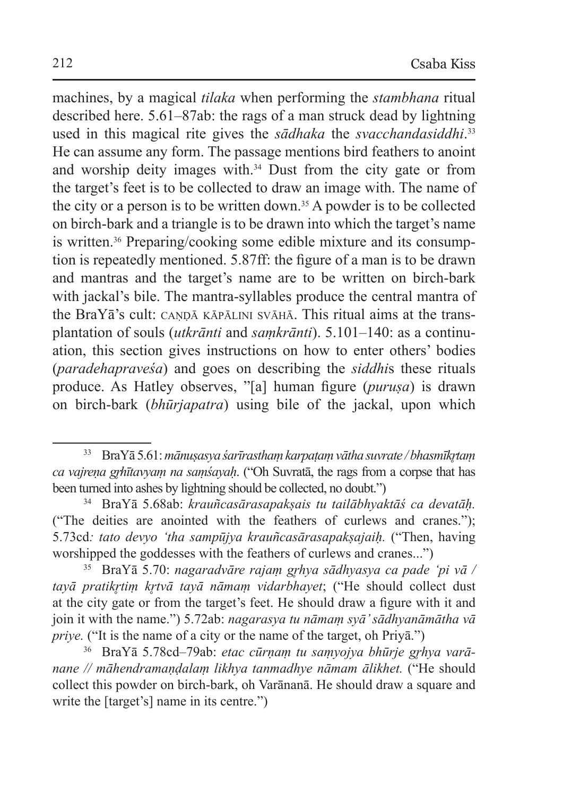machines, by a magical *tilaka* when performing the *stambhana* ritual described here. 5.61–87ab: the rags of a man struck dead by lightning used in this magical rite gives the *sādhaka* the *svacchandasiddhi*. 33 He can assume any form. The passage mentions bird feathers to anoint and worship deity images with.34 Dust from the city gate or from the target's feet is to be collected to draw an image with. The name of the city or a person is to be written down.<sup>35</sup> A powder is to be collected on birch-bark and a triangle is to be drawn into which the target's name is written.<sup>36</sup> Preparing/cooking some edible mixture and its consumption is repeatedly mentioned. 5.87ff: the figure of a man is to be drawn and mantras and the target's name are to be written on birch-bark with jackal's bile. The mantra-syllables produce the central mantra of the BraYa's cult: CANDA KĀPĀLINI SVĀHĀ. This ritual aims at the transplantation of souls (*utkrānti* and *saṃkrānti*). 5.101–140: as a continuation, this section gives instructions on how to enter others' bodies (*paradehapraveśa*) and goes on describing the *siddhi*s these rituals produce. As Hatley observes, "[a] human figure (*puruṣa*) is drawn on birch-bark (*bhūrjapatra*) using bile of the jackal, upon which

<sup>33</sup> BraYā 5.61:*mānuṣasya śarīrasthaṃ karpaṭaṃ vātha suvrate / bhasmīkr̥taṃ ca vajreṇa gr̥hītavyaṃ na saṃśayaḥ*. ("Oh Suvratā, the rags from a corpse that has been turned into ashes by lightning should be collected, no doubt.")

<sup>34</sup> BraYā 5.68ab: *krauñcasārasapakṣais tu tailābhyaktāś ca devatāḥ.*  ("The deities are anointed with the feathers of curlews and cranes."); 5.73cd*: tato devyo 'tha sampūjya krauñcasārasapakṣajaiḥ.* ("Then, having worshipped the goddesses with the feathers of curlews and cranes...")

<sup>35</sup> BraYā 5.70: *nagaradvāre rajaṃ gr̥hya sādhyasya ca pade 'pi vā / tayā pratikr̥tiṃ kr̥tvā tayā nāmaṃ vidarbhayet*; ("He should collect dust at the city gate or from the target's feet. He should draw a figure with it and join it with the name.") 5.72ab: *nagarasya tu nāmaṃ syā' sādhyanāmātha vā priye.* ("It is the name of a city or the name of the target, oh Priyā.")

<sup>36</sup> BraYā 5.78cd–79ab: *etac cūrṇaṃ tu saṃyojya bhūrje gr̥hya varānane // māhendramaṇḍalaṃ likhya tanmadhye nāmam ālikhet.* ("He should collect this powder on birch-bark, oh Varānanā. He should draw a square and write the [target's] name in its centre.")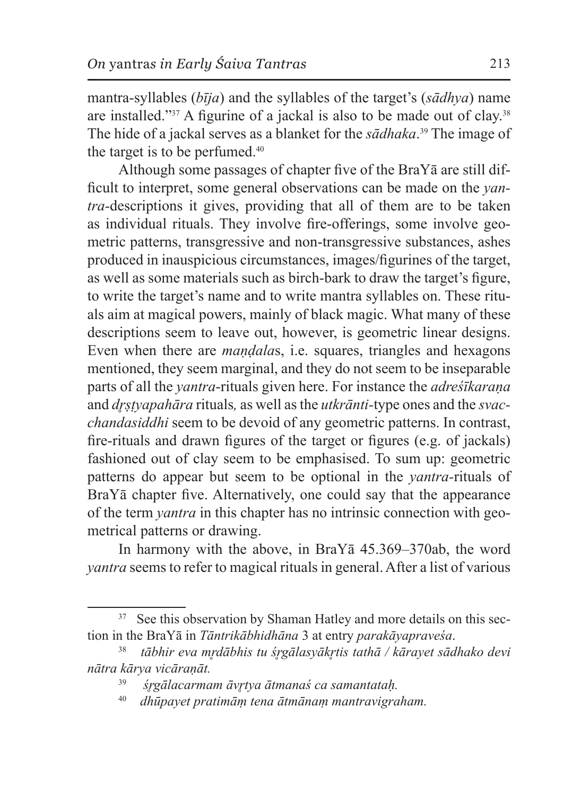mantra-syllables (*bīja*) and the syllables of the target's (*sādhya*) name are installed."37 A figurine of a jackal is also to be made out of clay.38 The hide of a jackal serves as a blanket for the *sādhaka*. 39 The image of the target is to be perfumed.<sup>40</sup>

Although some passages of chapter five of the BraYā are still difficult to interpret, some general observations can be made on the *yantra-*descriptions it gives, providing that all of them are to be taken as individual rituals. They involve fire-offerings, some involve geometric patterns, transgressive and non-transgressive substances, ashes produced in inauspicious circumstances, images/figurines of the target, as well as some materials such as birch-bark to draw the target's figure, to write the target's name and to write mantra syllables on. These rituals aim at magical powers, mainly of black magic. What many of these descriptions seem to leave out, however, is geometric linear designs. Even when there are *maṇḍala*s, i.e. squares, triangles and hexagons mentioned, they seem marginal, and they do not seem to be inseparable parts of all the *yantra*-rituals given here. For instance the *adreśīkaraṇa*  and *dr̥ṣṭyapahāra* rituals*,* as well asthe *utkrānti-*type ones and the *svacchandasiddhi* seem to be devoid of any geometric patterns. In contrast, fire-rituals and drawn figures of the target or figures (e.g. of jackals) fashioned out of clay seem to be emphasised. To sum up: geometric patterns do appear but seem to be optional in the *yantra-*rituals of BraYā chapter five. Alternatively, one could say that the appearance of the term *yantra* in this chapter has no intrinsic connection with geometrical patterns or drawing.

In harmony with the above, in BraYā 45.369–370ab, the word *yantra* seems to refer to magical rituals in general. After a list of various

<sup>&</sup>lt;sup>37</sup> See this observation by Shaman Hatley and more details on this section in the BraYā in *Tāntrikābhidhāna* 3 at entry *parakāyapraveśa*.

<sup>38</sup> *tābhir eva mr̥dābhis tu śr̥gālasyākr̥tis tathā / kārayet sādhako devi nātra kārya vicāraṇāt.* 

<sup>39</sup> *śr̥gālacarmam āvr̥tya ātmanaś ca samantataḥ.* 

<sup>40</sup> *dhūpayet pratimāṃ tena ātmānaṃ mantravigraham.*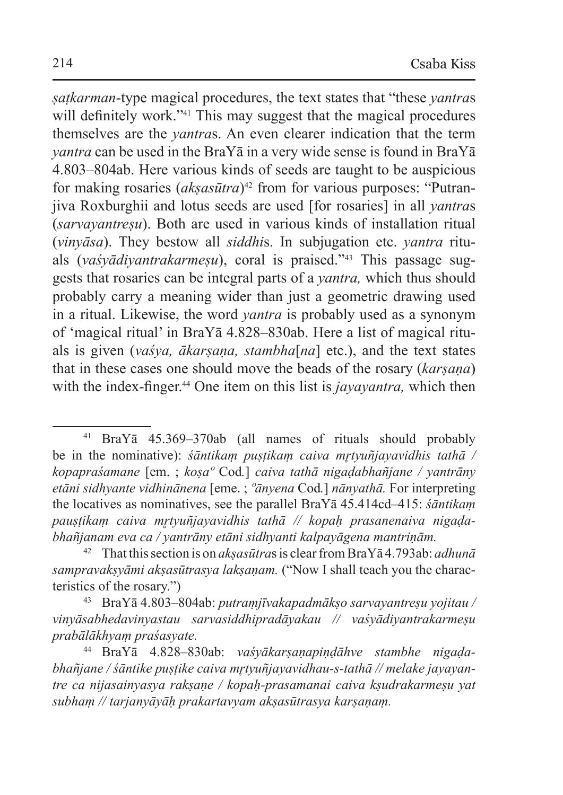*ṣaṭkarman*-type magical procedures, the text states that "these *yantra*s will definitely work.<sup>"41</sup> This may suggest that the magical procedures themselves are the *yantra*s. An even clearer indication that the term *yantra* can be used in the BraYā in a very wide sense is found in BraYā 4.803–804ab. Here various kinds of seeds are taught to be auspicious for making rosaries (*aksasūtra*)<sup>42</sup> from for various purposes: "Putranjiva Roxburghii and lotus seeds are used [for rosaries] in all *yantra*s (*sarvayantreṣu*). Both are used in various kinds of installation ritual (*vinyāsa*). They bestow all *siddhi*s. In subjugation etc. *yantra* rituals (*vaśyādiyantrakarmeṣu*), coral is praised."43 This passage suggests that rosaries can be integral parts of a *yantra,* which thus should probably carry a meaning wider than just a geometric drawing used in a ritual. Likewise, the word *yantra* is probably used as a synonym of 'magical ritual' in BraYā 4.828–830ab. Here a list of magical rituals is given (*vaśya, ākarṣaṇa, stambha*[*na*] etc.), and the text states that in these cases one should move the beads of the rosary (*karṣaṇa*) with the index-finger.<sup>44</sup> One item on this list is *jayayantra*, which then

<sup>41</sup> BraYā 45.369–370ab (all names of rituals should probably be in the nominative): *śāntikam puṣṭikam caiva mṛtyuñjayavidhis tathā* / *kopapraśamane* [em. ; *koṣaº* Cod*.*] *caiva tathā nigaḍabhañjane / yantrāny etāni sidhyante vidhinānena* [eme. ; *ºānyena* Cod*.*] *nānyathā.* For interpreting the locatives as nominatives, see the parallel BraYā 45.414cd–415: *śāntikaṃ pauṣṭikaṃ caiva mr̥tyuñjayavidhis tathā // kopaḥ prasanenaiva nigaḍabhañjanam eva ca / yantrāny etāni sidhyanti kalpayāgena mantriṇām.*

<sup>42</sup> That this section is on *akṣasūtra*s is clear from BraYā 4.793ab: *adhunā sampravakṣyāmi akṣasūtrasya lakṣaṇam.* ("Now I shall teach you the characteristics of the rosary.")

<sup>43</sup> BraYā 4.803–804ab: *putraṃjīvakapadmākṣo sarvayantreṣu yojitau / vinyāsabhedavinyastau sarvasiddhipradāyakau // vaśyādiyantrakarmeṣu prabālākhyaṃ praśasyate.*

<sup>44</sup> BraYā 4.828–830ab: *vaśyākarṣaṇapiṇḍāhve stambhe nigaḍabhañjane / śāntike puṣṭike caiva mr̥tyuñjayavidhau-s-tathā // melake jayayantre ca nijasainyasya rakṣaṇe / kopaḥ-prasamanai caiva kṣudrakarmeṣu yat subhaṃ // tarjanyāyāḥ prakartavyam akṣasūtrasya karṣaṇaṃ.*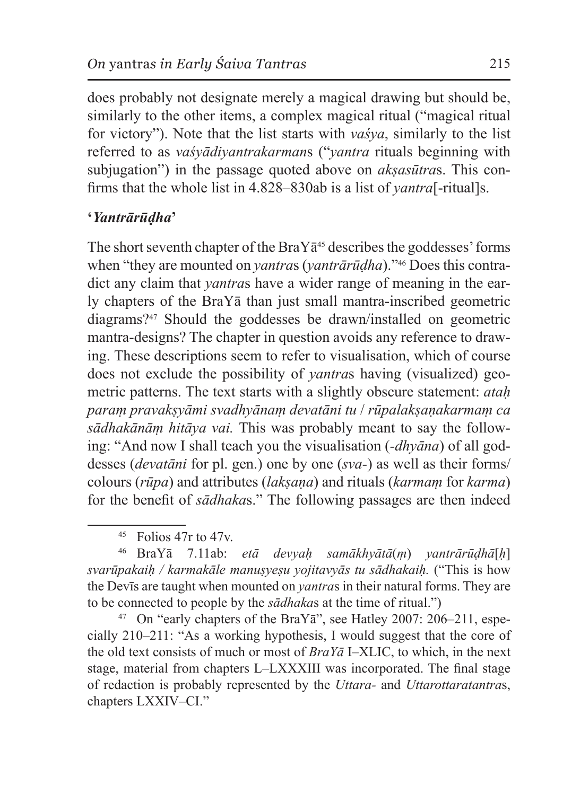does probably not designate merely a magical drawing but should be, similarly to the other items, a complex magical ritual ("magical ritual for victory"). Note that the list starts with *vaśya*, similarly to the list referred to as *vaśyādiyantrakarman*s ("*yantra* rituals beginning with subjugation") in the passage quoted above on *aksasūtras*. This confirms that the whole list in 4.828–830ab is a list of *yantra*[-ritual]s.

### **'***Yantrārūḍha***'**

The short seventh chapter of the BraY $\bar{a}^{45}$  describes the goddesses' forms when "they are mounted on *yantra*s (*yantrārūḍha*)."46 Does this contradict any claim that *yantra*s have a wider range of meaning in the early chapters of the BraYā than just small mantra-inscribed geometric diagrams?47 Should the goddesses be drawn/installed on geometric mantra-designs? The chapter in question avoids any reference to drawing. These descriptions seem to refer to visualisation, which of course does not exclude the possibility of *yantra*s having (visualized) geometric patterns. The text starts with a slightly obscure statement: *ataḥ paraṃ pravakṣyāmi svadhyānaṃ devatāni tu* / *rūpalakṣaṇakarmaṃ ca sādhakānāṃ hitāya vai.* This was probably meant to say the following: "And now I shall teach you the visualisation (*-dhyāna*) of all goddesses (*devatāni* for pl. gen.) one by one (*sva-*) as well as their forms/ colours (*rūpa*) and attributes (*lakṣaṇa*) and rituals (*karmaṃ* for *karma*) for the benefit of *sādhaka*s." The following passages are then indeed

<sup>46</sup> BraYā 7.11ab: *etā devyaḥ samākhyātā*(*ṃ*) *yantrārūḍhā*[*ḥ*] *svarūpakaiḥ / karmakāle manuṣyeṣu yojitavyās tu sādhakaiḥ.* ("This is how the Devīs are taught when mounted on *yantra*s in their natural forms. They are to be connected to people by the *sādhaka*s at the time of ritual.")

 $47$  On "early chapters of the BraY $\bar{a}$ ", see Hatley 2007: 206–211, especially 210–211: "As a working hypothesis, I would suggest that the core of the old text consists of much or most of *BraYā* I–XLIC, to which, in the next stage, material from chapters L–LXXXIII was incorporated. The final stage of redaction is probably represented by the *Uttara-* and *Uttarottaratantra*s, chapters LXXIV–CI."

 $45$  Folios 47r to 47v.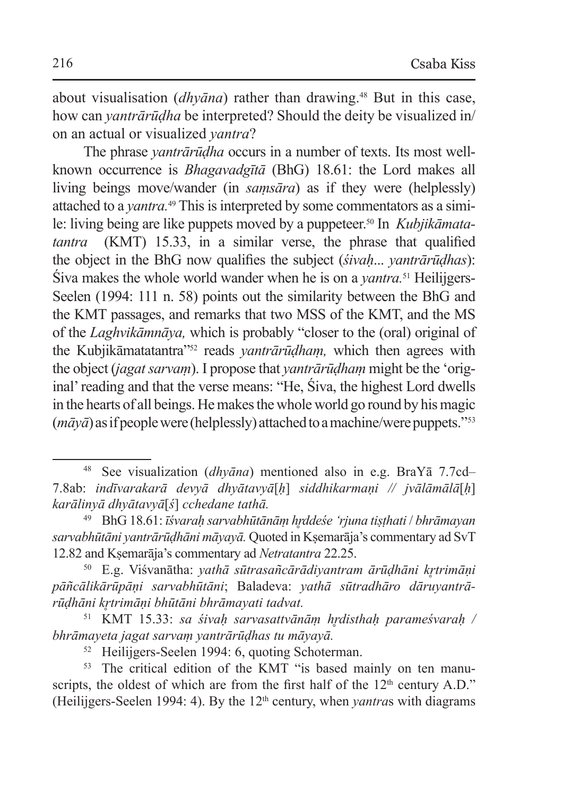about visualisation (*dhyāna*) rather than drawing.48 But in this case, how can *yantrārūḍha* be interpreted? Should the deity be visualized in/ on an actual or visualized *yantra*?

The phrase *yantrārūḍha* occurs in a number of texts. Its most wellknown occurrence is *Bhagavadgītā* (BhG) 18.61: the Lord makes all living beings move/wander (in *samsāra*) as if they were (helplessly) attached to a *vantra*.<sup>49</sup> This is interpreted by some commentators as a simile: living being are like puppets moved by a puppeteer.50 In *Kubjikāmatatantra* (KMT) 15.33, in a similar verse, the phrase that qualified the object in the BhG now qualifies the subject (*śivaḥ*... *yantrārūḍhas*): Śiva makes the whole world wander when he is on a *yantra.*51 Heilijgers-Seelen (1994: 111 n. 58) points out the similarity between the BhG and the KMT passages, and remarks that two MSS of the KMT, and the MS of the *Laghvikāmnāya,* which is probably "closer to the (oral) original of the Kubjikāmatatantra"52 reads *yantrārūḍhaṃ,* which then agrees with the object (*jagat sarvaṃ*). I propose that *yantrārūḍhaṃ* might be the 'original' reading and that the verse means: "He, Śiva, the highest Lord dwells in the hearts of all beings. Hemakes the whole world go round by his magic (*māyā*) asifpeople were (helplessly) attached toamachine/were puppets."53

<sup>48</sup> See visualization (*dhyāna*) mentioned also in e.g. BraYā 7.7cd– 7.8ab: *indīvarakarā devyā dhyātavyā*[*ḥ*] *siddhikarmaṇi // jvālāmālā*[*ḥ*] *karālinyā dhyātavyā*[*ś*] *cchedane tathā.*

<sup>49</sup> BhG 18.61: *īśvaraḥ sarvabhūtānāṃ hr̥ddeśe 'rjuna tiṣṭhati* / *bhrāmayan sarvabhūtāni yantrārūḍhāni māyayā.* Quoted in Kṣemarāja's commentary ad SvT 12.82 and Kṣemarāja's commentary ad *Netratantra* 22.25.

<sup>50</sup> E.g. Viśvanātha: *yathā sūtrasañcārādiyantram ārūḍhāni kr̥trimāṇi pāñcālikārūpāṇi sarvabhūtāni*; Baladeva: *yathā sūtradhāro dāruyantrārūḍhāni kr̥trimāṇi bhūtāni bhrāmayati tadvat.*

<sup>51</sup> KMT 15.33: *sa śivaḥ sarvasattvānāṃ hr̥disthaḥ parameśvaraḥ / bhrāmayeta jagat sarvaṃ yantrārūḍhas tu māyayā.*

<sup>&</sup>lt;sup>52</sup> Heilijgers-Seelen 1994: 6, quoting Schoterman.<br><sup>53</sup> The critical edition of the KMT "is based mainly on ten manuscripts, the oldest of which are from the first half of the  $12<sup>th</sup>$  century A.D." (Heilijgers-Seelen 1994: 4). By the  $12<sup>th</sup>$  century, when *vantras* with diagrams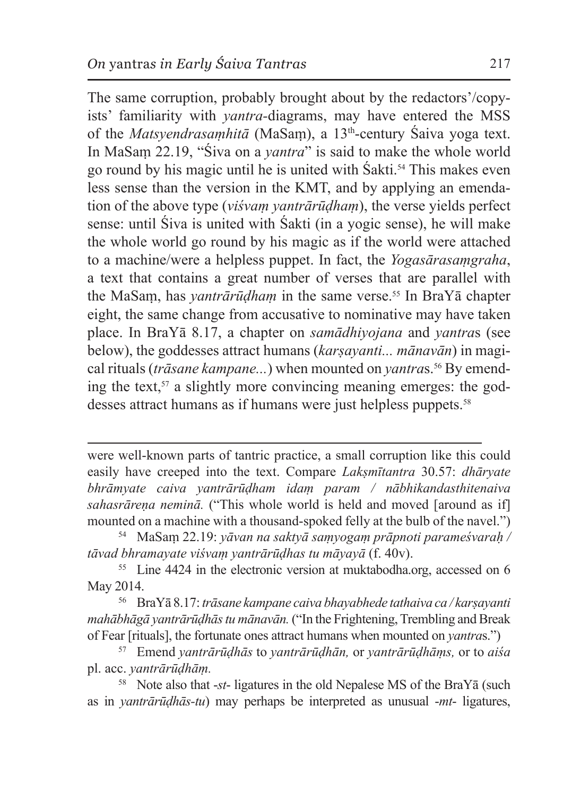The same corruption, probably brought about by the redactors'/copyists' familiarity with *yantra-*diagrams, may have entered the MSS of the *Matsyendrasaṃhitā* (MaSaṃ), a 13th-century Śaiva yoga text. In MaSaṃ 22.19, "Śiva on a *yantra*" is said to make the whole world go round by his magic until he is united with Śakti.54 This makes even less sense than the version in the KMT, and by applying an emendation of the above type (*viśvaṃ yantrārūḍhaṃ*), the verse yields perfect sense: until Śiva is united with Śakti (in a yogic sense), he will make the whole world go round by his magic as if the world were attached to a machine/were a helpless puppet. In fact, the *Yogasārasaṃgraha*, a text that contains a great number of verses that are parallel with the MaSam, has *yantrārūḍham* in the same verse.<sup>55</sup> In BraYā chapter eight, the same change from accusative to nominative may have taken place. In BraYā 8.17, a chapter on *samādhiyojana* and *yantra*s (see below), the goddesses attract humans (*karṣayanti... mānavān*) in magical rituals (*trāsane kampane...*) when mounted on *yantras*.<sup>56</sup> By emending the text, $57$  a slightly more convincing meaning emerges: the goddesses attract humans as if humans were just helpless puppets.<sup>58</sup>

were well-known parts of tantric practice, a small corruption like this could easily have creeped into the text. Compare *Lakṣmītantra* 30.57: *dhāryate bhrāmyate caiva yantrārūḍham idaṃ param / nābhikandasthitenaiva sahasrāreṇa neminā.* ("This whole world is held and moved [around as if] mounted on a machine with a thousand-spoked felly at the bulb of the navel.") <sup>54</sup> MaSam 22.19: *yāvan na saktyā saṃyogaṃ prāpnoti parameśvaraḥ* /

*tāvad bhramayate viśvaṃ yantrārūḍhas tu māyayā* (f. 40v).

<sup>55</sup> Line 4424 in the electronic version at muktabodha.org, accessed on 6 May 2014.

<sup>56</sup> BraYā 8.17: *trāsane kampane caiva bhayabhede tathaiva ca / karṣayanti mahābhāgā yantrārūḍhās tu mānavān.* ("In the Frightening, Trembling and Break of Fear [rituals], the fortunate ones attract humans when mounted on *yantra*s.")

<sup>57</sup> Emend *yantrārūḍhās* to *yantrārūḍhān,* or *yantrārūḍhāṃs,* or to *aiśa*  pl. acc. *yantrārūḍhāṃ.*

<sup>58</sup> Note also that -*st*- ligatures in the old Nepalese MS of the BraYā (such as in *yantrārūḍhās-tu*) may perhaps be interpreted as unusual -*mt*- ligatures,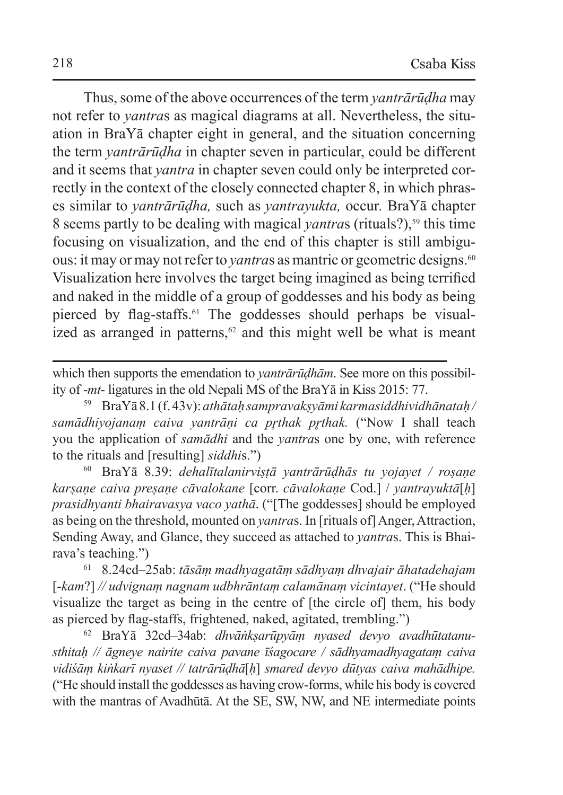Thus, some of the above occurrences of the term *yantrārūḍha* may not refer to *yantra*s as magical diagrams at all. Nevertheless, the situation in BraYā chapter eight in general, and the situation concerning the term *yantrārūḍha* in chapter seven in particular, could be different and it seems that *yantra* in chapter seven could only be interpreted correctly in the context of the closely connected chapter 8, in which phrases similar to *yantrārūḍha,* such as *yantrayukta,* occur*.* BraYā chapter 8 seems partly to be dealing with magical *yantras* (rituals?),<sup>59</sup> this time focusing on visualization, and the end of this chapter is still ambiguous: it may or may not refer to *yantras* as mantric or geometric designs.<sup>60</sup> Visualization here involves the target being imagined as being terrified and naked in the middle of a group of goddesses and his body as being pierced by flag-staffs.61 The goddesses should perhaps be visualized as arranged in patterns, $62$  and this might well be what is meant

which then supports the emendation to *yantrārūḍhām*. See more on this possibility of -*mt*- ligatures in the old Nepali MS of the BraYā in Kiss 2015: 77.

<sup>59</sup> BraYā 8.1 (f.43v): *athātaḥ sampravakṣyāmi karmasiddhividhānataḥ/ samādhiyojanaṃ caiva yantrāṇi ca pr̥thak pr̥thak.* ("Now I shall teach you the application of *samādhi* and the *yantra*s one by one, with reference to the rituals and [resulting] *siddhi*s.")

<sup>60</sup> BraYā 8.39: *dehalītalanirviṣṭā yantrārūḍhās tu yojayet / roṣaṇe karṣaṇe caiva preṣaṇe cāvalokane* [corr. *cāvalokaṇe* Cod.] / *yantrayuktā*[*ḥ*] *prasidhyanti bhairavasya vaco yathā*. ("[The goddesses] should be employed as being on the threshold, mounted on *yantra*s. In [rituals of] Anger, Attraction, Sending Away, and Glance, they succeed as attached to *yantra*s. This is Bhairava's teaching.")

<sup>61</sup> 8.24cd–25ab: *tāsāṃ madhyagatāṃ sādhyaṃ dhvajair āhatadehajam*  [-*kam*?] *// udvignaṃ nagnam udbhrāntaṃ calamānaṃ vicintayet*. ("He should visualize the target as being in the centre of [the circle of] them, his body as pierced by flag-staffs, frightened, naked, agitated, trembling.")

<sup>62</sup> BraYā 32cd–34ab: *dhvāṅkṣarūpyāṃ nyased devyo avadhūtatanusthitaḥ // āgneye nairite caiva pavane īśagocare / sādhyamadhyagataṃ caiva vidiśāṃ kiṅkarī nyaset // tatrārūḍhā*[*ḥ*] *smared devyo dūtyas caiva mahādhipe.*  ("He should install the goddesses as having crow-forms, while his body is covered with the mantras of Avadhūtā. At the SE, SW, NW, and NE intermediate points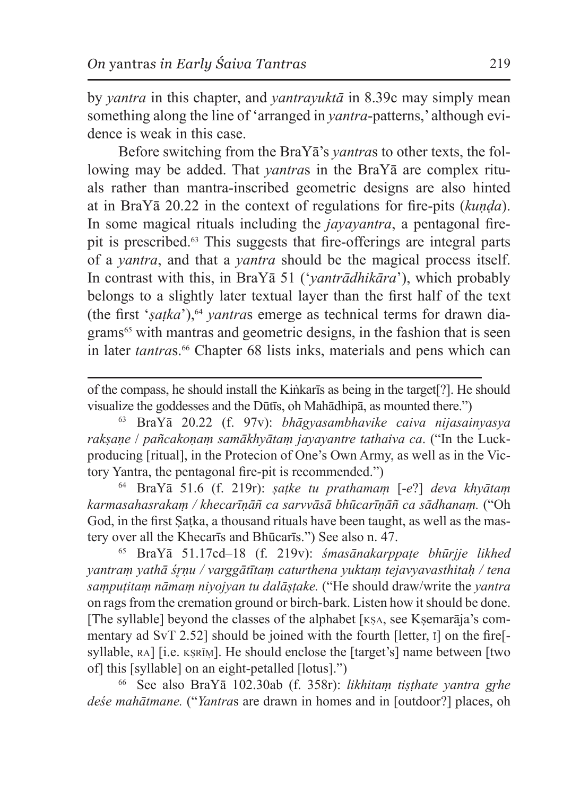by *yantra* in this chapter, and *yantrayuktā* in 8.39c may simply mean something along the line of 'arranged in *yantra*-patterns,' although evidence is weak in this case.

Before switching from the BraYā's *yantra*s to other texts, the following may be added. That *yantra*s in the BraYā are complex rituals rather than mantra-inscribed geometric designs are also hinted at in BraYā 20.22 in the context of regulations for fire-pits (*kuṇḍa*). In some magical rituals including the *jayayantra*, a pentagonal firepit is prescribed.<sup>63</sup> This suggests that fire-offerings are integral parts of a *yantra*, and that a *yantra* should be the magical process itself. In contrast with this, in BraYā 51 ('*yantrādhikāra*'), which probably belongs to a slightly later textual layer than the first half of the text (the first '*ṣaṭka*'),64 *yantra*s emerge as technical terms for drawn diagrams<sup>65</sup> with mantras and geometric designs, in the fashion that is seen in later *tantras*.<sup>66</sup> Chapter 68 lists inks, materials and pens which can

of the compass, he should install the Kiṅkarīs as being in the target[?]. He should visualize the goddesses and the Dūtīs, oh Mahādhipā, as mounted there.")

<sup>63</sup> BraYā 20.22 (f. 97v): *bhāgyasambhavike caiva nijasainyasya rakṣaṇe* / *pañcakoṇaṃ samākhyātaṃ jayayantre tathaiva ca*. ("In the Luckproducing [ritual], in the Protecion of One's Own Army, as well as in the Victory Yantra, the pentagonal fire-pit is recommended.")

<sup>64</sup> BraYā 51.6 (f. 219r): *ṣaṭke tu prathamaṃ* [-*e*?] *deva khyātaṃ karmasahasrakaṃ / khecarīṇāñ ca sarvvāsā bhūcarīṇāñ ca sādhanaṃ.* ("Oh God, in the first Ṣaṭka, a thousand rituals have been taught, as well as the mastery over all the Khecarīs and Bhūcarīs.") See also n. 47.

<sup>65</sup> BraYā 51.17cd–18 (f. 219v): *śmasānakarppaṭe bhūrjje likhed yantraṃ yathā śr̥ṇu / varggātītaṃ caturthena yuktaṃ tejavyavasthitaḥ / tena saṃpuṭitaṃ nāmaṃ niyojyan tu dalāṣṭake.* ("He should draw/write the *yantra* on rags from the cremation ground or birch-bark. Listen how it should be done. [The syllable] beyond the classes of the alphabet [KSA, see Ksemarāja's commentary ad SvT 2.52] should be joined with the fourth [letter, ī] on the fire[ syllable, RA] [i.e. KSRIM]. He should enclose the [target's] name between [two of] this [syllable] on an eight-petalled [lotus].")

<sup>66</sup> See also BraYā 102.30ab (f. 358r): *likhitaṃ tiṣṭhate yantra gr̥he deśe mahātmane.* ("*Yantra*s are drawn in homes and in [outdoor?] places, oh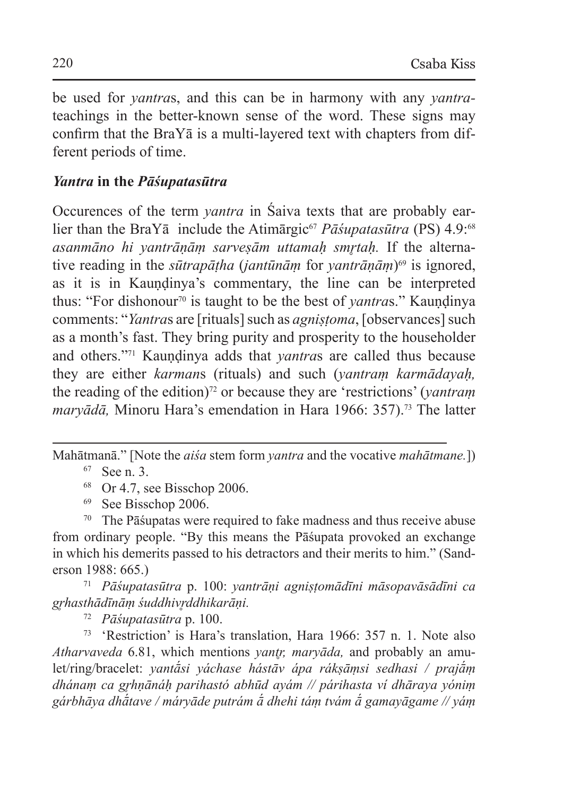be used for *yantra*s, and this can be in harmony with any *yantra*teachings in the better-known sense of the word. These signs may confirm that the BraYā is a multi-layered text with chapters from different periods of time.

#### *Yantra* **in the** *Pāśupatasūtra*

Occurences of the term *yantra* in Śaiva texts that are probably earlier than the BraYa include the Atimargic<sup>67</sup> *Pasupatasūtra* (PS) 4.9:<sup>68</sup> *asanmāno hi yantrāṇāṃ sarveṣām uttamaḥ smr̥taḥ.* If the alternative reading in the *sūtrapāṭha* (*jantūnāṃ* for *yantrāṇāṃ*)69 is ignored, as it is in Kaundinya's commentary, the line can be interpreted thus: "For dishonour<sup>70</sup> is taught to be the best of *vantras*." Kaundinya comments: "*Yantra*s are [rituals] such as *agniṣṭoma*, [observances] such as a month's fast. They bring purity and prosperity to the householder and others."<sup>71</sup> Kaundinya adds that *yantras* are called thus because they are either *karman*s (rituals) and such (*yantraṃ karmādayaḥ,* the reading of the edition)<sup>72</sup> or because they are 'restrictions' (*yantram maryādā*, Minoru Hara's emendation in Hara 1966: 357).<sup>73</sup> The latter

Mahātmanā." [Note the *aiśa* stem form *yantra* and the vocative *mahātmane.*]) <sup>67</sup> See n. 3.

 $68$  Or 4.7, see Bisschop 2006.

<sup>69</sup> See Bisschop 2006.

<sup>70</sup> The Pāśupatas were required to fake madness and thus receive abuse from ordinary people. "By this means the Pāśupata provoked an exchange in which his demerits passed to his detractors and their merits to him." (Sanderson 1988: 665.)

<sup>71</sup> *Pāśupatasūtra* p. 100: *yantrāṇi agniṣṭomādīni māsopavāsādīni ca gr̥hasthādīnāṃ śuddhivr̥ddhikarāṇi.*

<sup>72</sup> *Pāśupatasūtra* p. 100.

<sup>73</sup> 'Restriction' is Hara's translation, Hara 1966: 357 n. 1. Note also *Atharvaveda* 6.81, which mentions *yantr̥, maryāda,* and probably an amulet/ring/bracelet: *yantā́si yáchase hástāv ápa rákṣāṃsi sedhasi / prajā́ṃ dhánaṃ ca gr̥hṇānáḥ parihastó abhūd ayám // párihasta ví dhāraya yóniṃ gárbhāya dhā́tave / máryāde putrám ā́ dhehi táṃ tvám ā́ gamayāgame // yáṃ*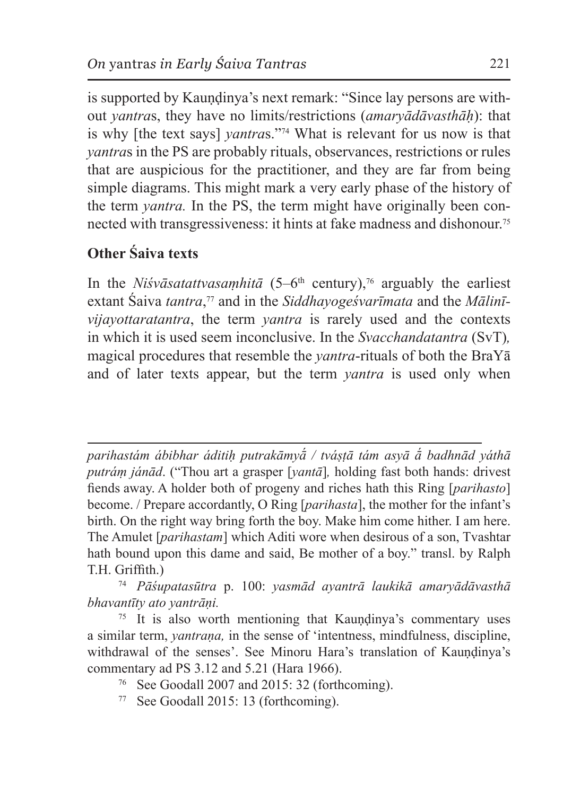is supported by Kaundinya's next remark: "Since lay persons are without *yantra*s, they have no limits/restrictions (*amaryādāvasthāḥ*): that is why [the text says] *yantra*s."74 What is relevant for us now is that *yantra*s in the PS are probably rituals, observances, restrictions or rules that are auspicious for the practitioner, and they are far from being simple diagrams. This might mark a very early phase of the history of the term *yantra.* In the PS, the term might have originally been connected with transgressiveness: it hints at fake madness and dishonour.75

# **Other Śaiva texts**

In the *Niśvāsatattvasamhitā*  $(5-6<sup>th</sup>$  century),<sup>76</sup> arguably the earliest extant Śaiva *tantra*, <sup>77</sup> and in the *Siddhayogeśvarīmata* and the *Mālinīvijayottaratantra*, the term *yantra* is rarely used and the contexts in which it is used seem inconclusive. In the *Svacchandatantra* (SvT)*,*  magical procedures that resemble the *yantra*-rituals of both the BraYā and of later texts appear, but the term *yantra* is used only when

*parihastám ábibhar áditiḥ putrakāmyā́ / tváṣṭā tám asyā ā́ badhnād yáthā putráṃ jánād*. ("Thou art a grasper [*yantā*]*,* holding fast both hands: drivest fiends away. A holder both of progeny and riches hath this Ring [*parihasto*] become. / Prepare accordantly, O Ring [*parihasta*], the mother for the infant's birth. On the right way bring forth the boy. Make him come hither. I am here. The Amulet [*parihastam*] which Aditi wore when desirous of a son, Tvashtar hath bound upon this dame and said, Be mother of a boy." transl. by Ralph T.H. Griffith.)

<sup>74</sup> *Pāśupatasūtra* p. 100: *yasmād ayantrā laukikā amaryādāvasthā bhavantīty ato yantrāṇi.*

 $75$  It is also worth mentioning that Kaundinya's commentary uses a similar term, *yantraṇa,* in the sense of 'intentness, mindfulness, discipline, withdrawal of the senses'. See Minoru Hara's translation of Kaundinya's commentary ad PS 3.12 and 5.21 (Hara 1966).

- <sup>76</sup> See Goodall 2007 and 2015: 32 (forthcoming).
- <sup>77</sup> See Goodall 2015: 13 (forthcoming).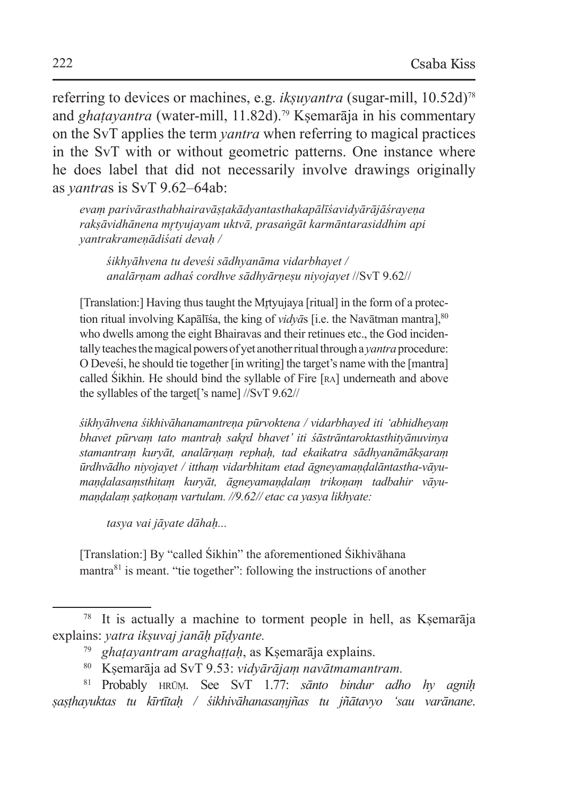referring to devices or machines, e.g. *ikṣuyantra* (sugar-mill, 10.52d)78 and *ghatayantra* (water-mill, 11.82d).<sup>79</sup> Ksemarāja in his commentary on the SvT applies the term *yantra* when referring to magical practices in the SvT with or without geometric patterns. One instance where he does label that did not necessarily involve drawings originally as *yantra*s is SvT 9.62–64ab:

*evaṃ parivārasthabhairavāṣṭakādyantasthakapālīśavidyārājāśrayeṇa rakṣāvidhānena mr̥tyujayam uktvā, prasaṅgāt karmāntarasiddhim api yantrakrameṇādiśati devaḥ /*

*śikhyāhvena tu deveśi sādhyanāma vidarbhayet / analārṇam adhaś cordhve sādhyārṇeṣu niyojayet* //SvT 9.62//

[Translation:] Having thus taught the Mrtyujaya [ritual] in the form of a protection ritual involving Kapālīša, the king of *vidyās* [i.e. the Navātman mantra],  $80$ who dwells among the eight Bhairavas and their retinues etc., the God incidentally teaches themagical powers of yet another ritual through a *yantra* procedure: O Deveśi, he should tie together [in writing] the target's name with the [mantra] called Śikhin. He should bind the syllable of Fire [ra] underneath and above the syllables of the target['s name] //SvT 9.62//

*śikhyāhvena śikhivāhanamantreṇa pūrvoktena / vidarbhayed iti 'abhidheyaṃ bhavet pūrvaṃ tato mantraḥ sakr̥d bhavet' iti śāstrāntaroktasthityānuvinya stamantraṃ kuryāt, analārṇaṃ rephaḥ, tad ekaikatra sādhyanāmākṣaraṃ ūrdhvādho niyojayet / itthaṃ vidarbhitam etad āgneyamaṇḍalāntastha-vāyumaṇḍalasaṃsthitaṃ kuryāt, āgneyamaṇḍalaṃ trikoṇaṃ tadbahir vāyumaṇḍalaṃ ṣaṭkoṇaṃ vartulam. //9.62// etac ca yasya likhyate:*

*tasya vai jāyate dāhaḥ...*

[Translation:] By "called Śikhin" the aforementioned Śikhivāhana mantra<sup>81</sup> is meant. "tie together": following the instructions of another

<sup>78</sup> It is actually a machine to torment people in hell, as Kṣemarāja explains: *yatra ikṣuvaj janāḥ pīḍyante.*

<sup>79</sup> *ghaṭayantram araghaṭṭaḥ*, as Kṣemarāja explains.

<sup>80</sup> Kṣemarāja ad SvT 9.53: *vidyārājaṃ navātmamantram.*

<sup>81</sup> Probably hrūṃ. See SvT 1.77: *sānto bindur adho hy agniḥ ṣaṣṭhayuktas tu kīrtītaḥ / śikhivāhanasaṃjñas tu jñātavyo 'sau varānane*.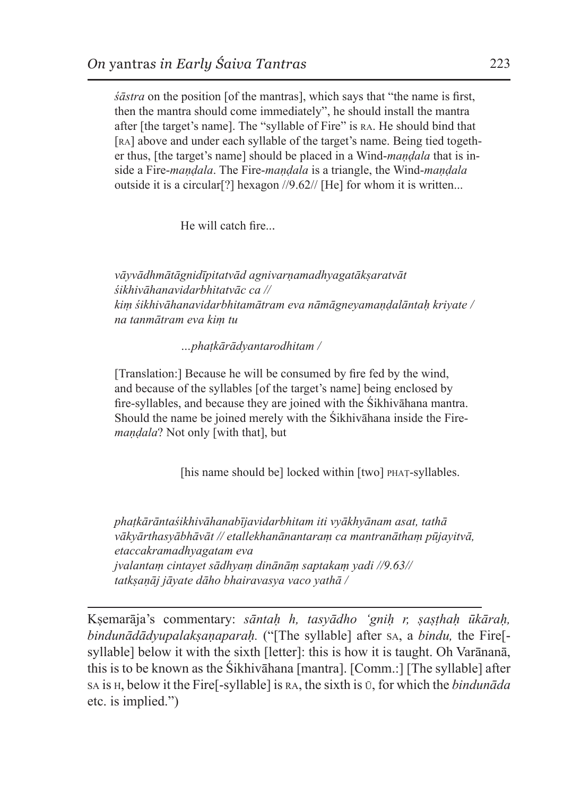*śāstra* on the position [of the mantras], which says that "the name is first, then the mantra should come immediately", he should install the mantra after [the target's name]. The "syllable of Fire" is ra. He should bind that [RA] above and under each syllable of the target's name. Being tied together thus, [the target's name] should be placed in a Wind-*maṇḍala* that is inside a Fire-*maṇḍala*. The Fire-*maṇḍala* is a triangle, the Wind-*maṇḍala*  outside it is a circular[?] hexagon //9.62// [He] for whom it is written...

He will catch fire...

*vāyvādhmātāgnidīpitatvād agnivarṇamadhyagatākṣaratvāt śikhivāhanavidarbhitatvāc ca // kiṃ śikhivāhanavidarbhitamātram eva nāmāgneyamaṇḍalāntaḥ kriyate / na tanmātram eva kiṃ tu* 

*…phaṭkārādyantarodhitam /* 

[Translation:] Because he will be consumed by fire fed by the wind, and because of the syllables [of the target's name] being enclosed by fire-syllables, and because they are joined with the Śikhivāhana mantra. Should the name be joined merely with the Śikhivāhana inside the Fire*maṇḍala*? Not only [with that], but

[his name should be] locked within [two] PHAT-syllables.

*phaṭkārāntaśikhivāhanabījavidarbhitam iti vyākhyānam asat, tathā vākyārthasyābhāvāt // etallekhanānantaraṃ ca mantranāthaṃ pūjayitvā, etaccakramadhyagatam eva jvalantaṃ cintayet sādhyaṃ dinānāṃ saptakaṃ yadi //9.63// tatkṣaṇāj jāyate dāho bhairavasya vaco yathā /*

Kṣemarāja's commentary: *sāntaḥ h, tasyādho 'gniḥ r, ṣaṣṭhaḥ ūkāraḥ, bindunādādyupalakṣaṇaparaḥ.* ("[The syllable] after sa, a *bindu,* the Fire[ syllable] below it with the sixth [letter]: this is how it is taught. Oh Varānanā, this is to be known as the Śikhivāhana [mantra]. [Comm.:] [The syllable] after sa is h, below it the Fire[-syllable] is ra, the sixth is ū, for which the *bindunāda* etc. is implied.")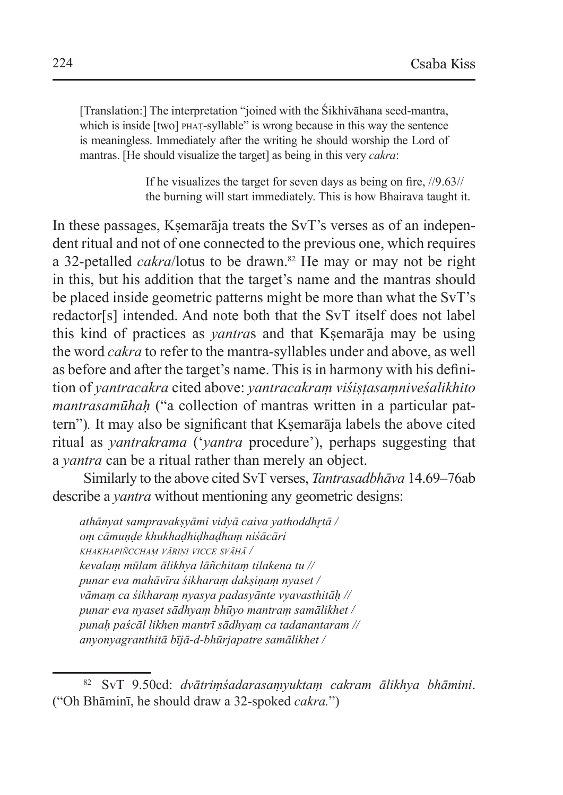[Translation:] The interpretation "joined with the Śikhivāhana seed-mantra, which is inside [two] **PHAT-syllable**" is wrong because in this way the sentence is meaningless. Immediately after the writing he should worship the Lord of mantras. [He should visualize the target] as being in this very *cakra*:

> If he visualizes the target for seven days as being on fire, //9.63// the burning will start immediately. This is how Bhairava taught it.

In these passages, Kṣemarāja treats the SvT's verses as of an independent ritual and not of one connected to the previous one, which requires a 32-petalled *cakra*/lotus to be drawn.<sup>82</sup> He may or may not be right in this, but his addition that the target's name and the mantras should be placed inside geometric patterns might be more than what the SvT's redactor[s] intended. And note both that the SvT itself does not label this kind of practices as *yantra*s and that Kṣemarāja may be using the word *cakra* to refer to the mantra-syllables under and above, as well as before and after the target's name. This is in harmony with his definition of *yantracakra* cited above: *yantracakraṃ viśiṣṭasaṃniveśalikhito mantrasamūhah* ("a collection of mantras written in a particular pattern")*.* It may also be significant that Kṣemarāja labels the above cited ritual as *yantrakrama* ('*yantra* procedure'), perhaps suggesting that a *yantra* can be a ritual rather than merely an object.

Similarly to the above cited SvT verses, *Tantrasadbhāva* 14.69–76ab describe a *yantra* without mentioning any geometric designs:

*athānyat sampravakṣyāmi vidyā caiva yathoddhr̥tā / oṃ cāmuṇḍe khukhaḍhiḍhaḍhaṃ niśācāri khakhapiñcchaṃ vāriṇi vicce svāhā / kevalaṃ mūlam ālikhya lāñchitaṃ tilakena tu // punar eva mahāvīra śikharaṃ dakṣiṇaṃ nyaset / vāmaṃ ca śikharaṃ nyasya padasyānte vyavasthitāḥ // punar eva nyaset sādhyaṃ bhūyo mantraṃ samālikhet / punaḥ paścāl likhen mantrī sādhyaṃ ca tadanantaram // anyonyagranthitā bījā-d-bhūrjapatre samālikhet /* 

<sup>82</sup> SvT 9.50cd: *dvātriṃśadarasaṃyuktaṃ cakram ālikhya bhāmini*. ("Oh Bhāminī, he should draw a 32-spoked *cakra.*")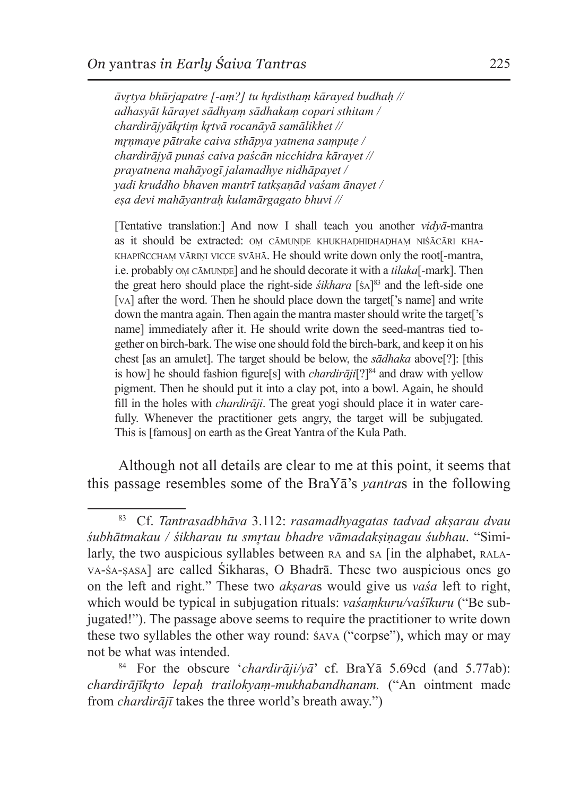*āvr̥tya bhūrjapatre [-aṃ?] tu hr̥disthaṃ kārayed budhaḥ // adhasyāt kārayet sādhyaṃ sādhakaṃ copari sthitam / chardirājyākr̥tiṃ kr̥tvā rocanāyā samālikhet // mr̥ṇmaye pātrake caiva sthāpya yatnena saṃpuṭe / chardirājyā punaś caiva paścān nicchidra kārayet // prayatnena mahāyogī jalamadhye nidhāpayet / yadi kruddho bhaven mantrī tatkṣaṇād vaśam ānayet / eṣa devi mahāyantraḥ kulamārgagato bhuvi //*

[Tentative translation:] And now I shall teach you another *vidyā*-mantra as it should be extracted: OM CĀMUNDE KHUKHADHIDHADHAM NIŚĀCĀRI KHA-KHAPIÑCCHAM VĀRIŅI VICCE SVĀHĀ. He should write down only the root<sup>[-</sup>mantra, i.e. probably om cāmunde] and he should decorate it with a *tilaka*[-mark]. Then the great hero should place the right-side *śikhara* [śa] 83 and the left-side one [v<sub>A</sub>] after the word. Then he should place down the target<sup>['s name] and write</sup> down the mantra again. Then again the mantra master should write the target['s name] immediately after it. He should write down the seed-mantras tied together on birch-bark. The wise one should fold the birch-bark, and keep it on his chest [as an amulet]. The target should be below, the *sādhaka* above[?]: [this is how] he should fashion figure[s] with *chardiraji*[?] $84$  and draw with yellow pigment. Then he should put it into a clay pot, into a bowl. Again, he should fill in the holes with *chardirāji*. The great yogi should place it in water carefully. Whenever the practitioner gets angry, the target will be subjugated. This is [famous] on earth as the Great Yantra of the Kula Path.

Although not all details are clear to me at this point, it seems that this passage resembles some of the BraYā's *yantra*s in the following

<sup>83</sup> Cf. *Tantrasadbhāva* 3.112: *rasamadhyagatas tadvad akṣarau dvau śubhātmakau / śikharau tu smr̥tau bhadre vāmadakṣiṇagau śubhau*. "Similarly, the two auspicious syllables between RA and SA [in the alphabet, RALAva-śa-ṣasa] are called Śikharas, O Bhadrā. These two auspicious ones go on the left and right." These two *akṣara*s would give us *vaśa* left to right, which would be typical in subjugation rituals: *vaśaṃkuru/vaśīkuru* ("Be subjugated!"). The passage above seems to require the practitioner to write down these two syllables the other way round: śava ("corpse"), which may or may not be what was intended.

<sup>84</sup> For the obscure '*chardirāji/yā*' cf. BraYā 5.69cd (and 5.77ab): *chardirājīkr̥to lepaḥ trailokyaṃ-mukhabandhanam.* ("An ointment made from *chardirājī* takes the three world's breath away.")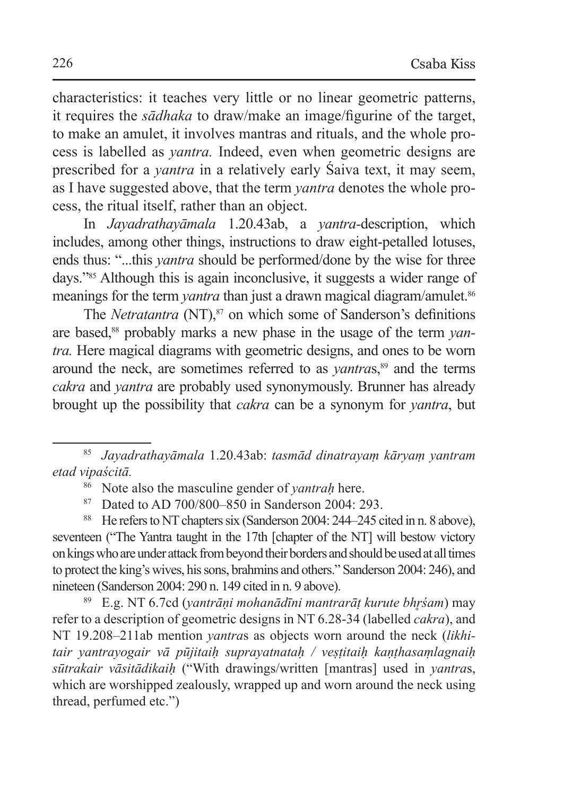characteristics: it teaches very little or no linear geometric patterns, it requires the *sādhaka* to draw/make an image/figurine of the target, to make an amulet, it involves mantras and rituals, and the whole process is labelled as *yantra.* Indeed, even when geometric designs are prescribed for a *yantra* in a relatively early Śaiva text, it may seem, as I have suggested above, that the term *yantra* denotes the whole process, the ritual itself, rather than an object.

In *Jayadrathayāmala* 1.20.43ab, a *yantra-*description, which includes, among other things, instructions to draw eight-petalled lotuses, ends thus: "...this *yantra* should be performed/done by the wise for three days."85 Although this is again inconclusive, it suggests a wider range of meanings for the term *yantra* than just a drawn magical diagram/amulet.<sup>86</sup>

The *Netratantra* (NT),<sup>87</sup> on which some of Sanderson's definitions are based,<sup>88</sup> probably marks a new phase in the usage of the term *yantra.* Here magical diagrams with geometric designs, and ones to be worn around the neck, are sometimes referred to as *vantra*s,<sup>89</sup> and the terms *cakra* and *yantra* are probably used synonymously. Brunner has already brought up the possibility that *cakra* can be a synonym for *yantra*, but

<sup>88</sup> He refers to NT chapters six (Sanderson 2004: 244–245 cited in n. 8 above), seventeen ("The Yantra taught in the 17th [chapter of the NT] will bestow victory on kings who are under attack from beyond their borders and should be used at all times to protect the king's wives, his sons, brahmins and others." Sanderson 2004: 246), and nineteen (Sanderson 2004: 290 n. 149 cited in n. 9 above).

<sup>89</sup> E.g. NT 6.7cd (*yantrāṇi mohanādīni mantrarāṭ kurute bhr̥śam*) may refer to a description of geometric designs in NT 6.28-34 (labelled *cakra*), and NT 19.208–211ab mention *yantra*s as objects worn around the neck (*likhitair yantrayogair vā pūjitaiḥ suprayatnataḥ / veṣṭitaiḥ kaṇṭhasaṃlagnaiḥ sūtrakair vāsitādikaiḥ* ("With drawings/written [mantras] used in *yantra*s, which are worshipped zealously, wrapped up and worn around the neck using thread, perfumed etc.")

<sup>85</sup> *Jayadrathayāmala* 1.20.43ab: *tasmād dinatrayaṃ kāryaṃ yantram etad vipaścitā.*

<sup>86</sup> Note also the masculine gender of *yantraḥ* here.

<sup>87</sup> Dated to AD 700/800–850 in Sanderson 2004: 293.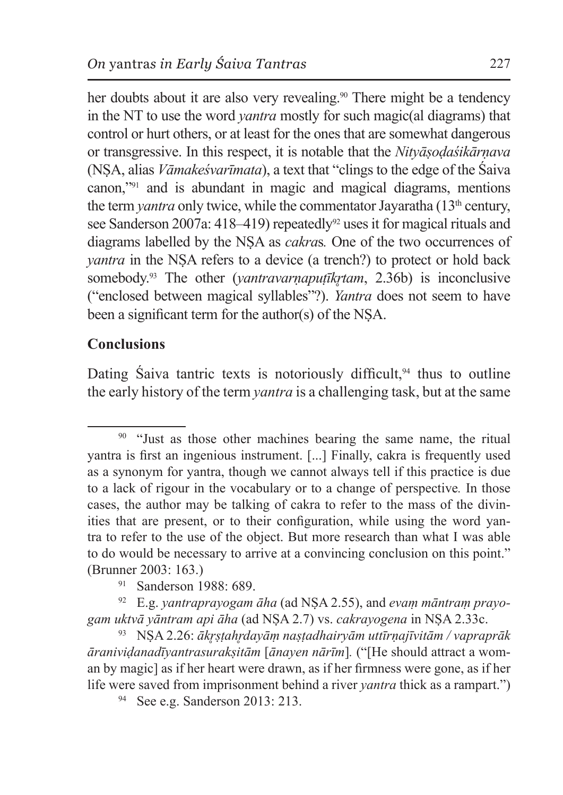her doubts about it are also very revealing.<sup>90</sup> There might be a tendency in the NT to use the word *yantra* mostly for such magic(al diagrams) that control or hurt others, or at least for the ones that are somewhat dangerous or transgressive. In this respect, it is notable that the *Nityāṣoḍaśikārṇava* (NṢA, alias *Vāmakeśvarīmata*), a text that "clings to the edge of the Śaiva canon,"91 and is abundant in magic and magical diagrams, mentions the term *vantra* only twice, while the commentator Javaratha (13<sup>th</sup> century, see Sanderson 2007a: 418–419) repeatedly<sup>92</sup> uses it for magical rituals and diagrams labelled by the NṢA as *cakra*s*.* One of the two occurrences of *yantra* in the NSA refers to a device (a trench?) to protect or hold back somebody.<sup>93</sup> The other (*yantravarnaputīkrtam*, 2.36b) is inconclusive ("enclosed between magical syllables"?). *Yantra* does not seem to have been a significant term for the author(s) of the NṢA.

## **Conclusions**

Dating Saiva tantric texts is notoriously difficult, $94$  thus to outline the early history of the term *yantra* is a challenging task, but at the same

<sup>91</sup> Sanderson 1988: 689.

<sup>92</sup> E.g. *yantraprayogam āha* (ad NṢA 2.55), and *evaṃ māntraṃ prayogam uktvā yāntram api āha* (ad NṢA 2.7) vs. *cakrayogena* in NṢA 2.33c.

<sup>93</sup> NṢA 2.26: *ākr̥ṣṭahr̥dayāṃ naṣṭadhairyām uttīrṇajīvitām / vapraprāk āraniviḍanadīyantrasurakṣitām* [*ānayen nārīm*]*.* ("[He should attract a woman by magic] as if her heart were drawn, as if her firmness were gone, as if her life were saved from imprisonment behind a river *yantra* thick as a rampart.")

<sup>94</sup> See e.g. Sanderson 2013: 213.

<sup>&</sup>lt;sup>90</sup> "Just as those other machines bearing the same name, the ritual yantra is first an ingenious instrument. [...] Finally, cakra is frequently used as a synonym for yantra, though we cannot always tell if this practice is due to a lack of rigour in the vocabulary or to a change of perspective*.* In those cases, the author may be talking of cakra to refer to the mass of the divinities that are present, or to their configuration, while using the word yantra to refer to the use of the object. But more research than what I was able to do would be necessary to arrive at a convincing conclusion on this point." (Brunner 2003: 163.)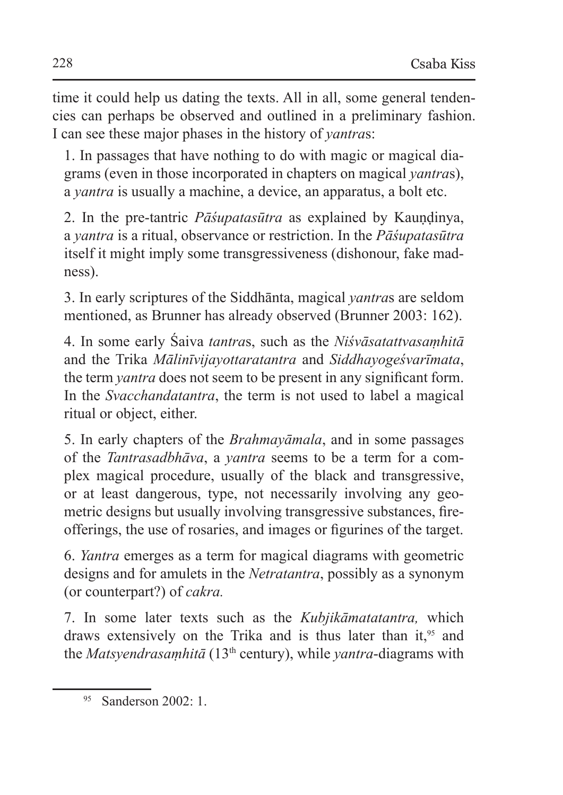time it could help us dating the texts. All in all, some general tendencies can perhaps be observed and outlined in a preliminary fashion. I can see these major phases in the history of *yantra*s:

1. In passages that have nothing to do with magic or magical diagrams (even in those incorporated in chapters on magical *yantra*s), a *yantra* is usually a machine, a device, an apparatus, a bolt etc.

2. In the pre-tantric *Pāśupatasūtra* as explained by Kaundinya, a *yantra* is a ritual, observance or restriction. In the *Pāśupatasūtra*  itself it might imply some transgressiveness (dishonour, fake madness).

3. In early scriptures of the Siddhānta, magical *yantra*s are seldom mentioned, as Brunner has already observed (Brunner 2003: 162).

4. In some early Śaiva *tantra*s, such as the *Niśvāsatattvasaṃhitā* and the Trika *Mālinīvijayottaratantra* and *Siddhayogeśvarīmata*, the term *yantra* does not seem to be present in any significant form. In the *Svacchandatantra*, the term is not used to label a magical ritual or object, either.

5. In early chapters of the *Brahmayāmala*, and in some passages of the *Tantrasadbhāva*, a *yantra* seems to be a term for a complex magical procedure, usually of the black and transgressive, or at least dangerous, type, not necessarily involving any geometric designs but usually involving transgressive substances, fireofferings, the use of rosaries, and images or figurines of the target.

6. *Yantra* emerges as a term for magical diagrams with geometric designs and for amulets in the *Netratantra*, possibly as a synonym (or counterpart?) of *cakra.*

7. In some later texts such as the *Kubjikāmatatantra,* which draws extensively on the Trika and is thus later than it,<sup>95</sup> and the *Matsyendrasaṃhitā* (13th century), while *yantra*-diagrams with

<sup>95</sup> Sanderson 2002: 1.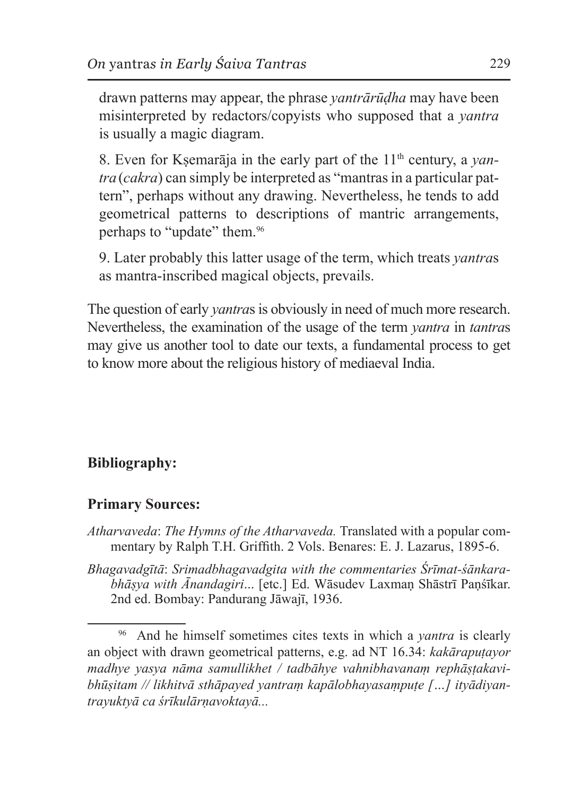drawn patterns may appear, the phrase *yantrārūḍha* may have been misinterpreted by redactors/copyists who supposed that a *yantra* is usually a magic diagram.

8. Even for Kṣemarāja in the early part of the 11th century, a *yantra* (*cakra*) can simply be interpreted as "mantras in a particular pattern", perhaps without any drawing. Nevertheless, he tends to add geometrical patterns to descriptions of mantric arrangements, perhaps to "update" them.<sup>96</sup>

9. Later probably this latter usage of the term, which treats *yantra*s as mantra-inscribed magical objects, prevails.

The question of early *yantra*s is obviously in need of much more research. Nevertheless, the examination of the usage of the term *yantra* in *tantra*s may give us another tool to date our texts, a fundamental process to get to know more about the religious history of mediaeval India.

# **Bibliography:**

### **Primary Sources:**

- *Atharvaveda*: *The Hymns of the Atharvaveda.* Translated with a popular commentary by Ralph T.H. Griffith. 2 Vols. Benares: E. J. Lazarus, 1895-6.
- *Bhagavadgītā*: *Srimadbhagavadgita with the commentaries Śrīmat-śānkarabhāṣya with Ānandagiri*... [etc.] Ed. Wāsudev Laxmaṇ Shāstrī Paṇśīkar. 2nd ed. Bombay: Pandurang Jāwajī, 1936.

<sup>96</sup> And he himself sometimes cites texts in which a *yantra* is clearly an object with drawn geometrical patterns, e.g. ad NT 16.34: *kakārapuṭayor madhye yasya nāma samullikhet / tadbāhye vahnibhavanaṃ rephāṣṭakavibhūṣitam // likhitvā sthāpayed yantraṃ kapālobhayasaṃpuṭe […] ityādiyantrayuktyā ca śrīkulārṇavoktayā...*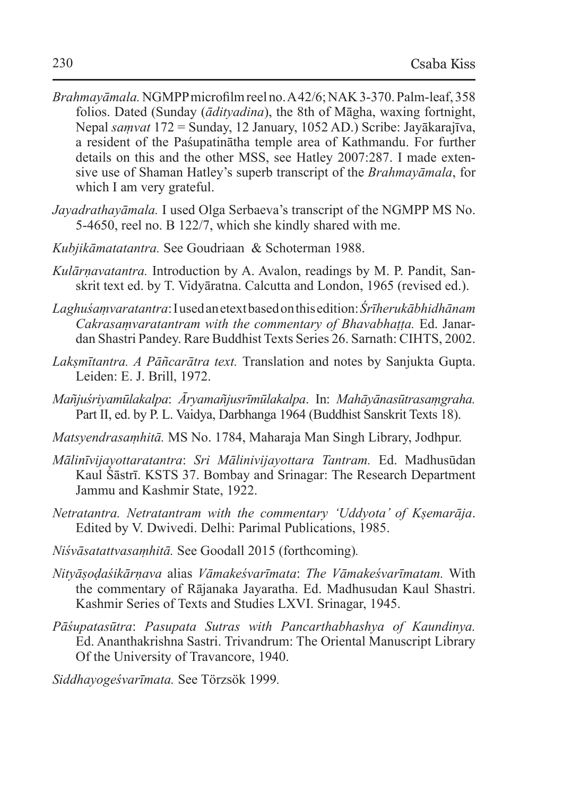- *Brahmayāmala.* NGMPPmicrofilm reel no. A42/6; NAK 3-370. Palm-leaf, 358 folios. Dated (Sunday (*ādityadina*), the 8th of Māgha, waxing fortnight, Nepal *saṃvat* 172 = Sunday, 12 January, 1052 AD.) Scribe: Jayākarajīva, a resident of the Paśupatinātha temple area of Kathmandu. For further details on this and the other MSS, see Hatley 2007:287. I made extensive use of Shaman Hatley's superb transcript of the *Brahmayāmala*, for which I am very grateful.
- *Jayadrathayāmala.* I used Olga Serbaeva's transcript of the NGMPP MS No. 5-4650, reel no. B 122/7, which she kindly shared with me.
- *Kubjikāmatatantra.* See Goudriaan & Schoterman 1988.
- *Kulārṇavatantra.* Introduction by A. Avalon, readings by M. P. Pandit, Sanskrit text ed. by T. Vidyāratna. Calcutta and London, 1965 (revised ed.).
- *Laghuśaṃvaratantra*:Iused anetext based onthis edition:*Śrīherukābhidhānam Cakrasaṃvaratantram with the commentary of Bhavabhaṭṭa.* Ed. Janardan Shastri Pandey. Rare Buddhist Texts Series 26. Sarnath: CIHTS, 2002.
- *Lakṣmītantra. A Pāñcarātra text.* Translation and notes by Sanjukta Gupta. Leiden: E. J. Brill, 1972.
- *Mañjuśriyamūlakalpa*: *Āryamañjusrīmūlakalpa*. In: *Mahāyānasūtrasaṃgraha.* Part II, ed. by P. L. Vaidya, Darbhanga 1964 (Buddhist Sanskrit Texts 18).
- *Matsyendrasaṃhitā.* MS No. 1784, Maharaja Man Singh Library, Jodhpur.
- *Mālinīvijayottaratantra*: *Sri Mālinivijayottara Tantram.* Ed. Madhusūdan Kaul Śāstrī. KSTS 37. Bombay and Srinagar: The Research Department Jammu and Kashmir State, 1922.
- *Netratantra. Netratantram with the commentary 'Uddyota' of Kṣemarāja*. Edited by V. Dwivedi. Delhi: Parimal Publications, 1985.
- *Niśvāsatattvasaṃhitā.* See Goodall 2015 (forthcoming)*.*
- *Nityāṣoḍaśikārṇava* alias *Vāmakeśvarīmata*: *The Vāmakeśvarīmatam.* With the commentary of Rājanaka Jayaratha. Ed. Madhusudan Kaul Shastri. Kashmir Series of Texts and Studies LXVI. Srinagar, 1945.
- *Pāśupatasūtra*: *Pasupata Sutras with Pancarthabhashya of Kaundinya.*  Ed. Ananthakrishna Sastri. Trivandrum: The Oriental Manuscript Library Of the University of Travancore, 1940.

*Siddhayogeśvarīmata.* See Törzsök 1999*.*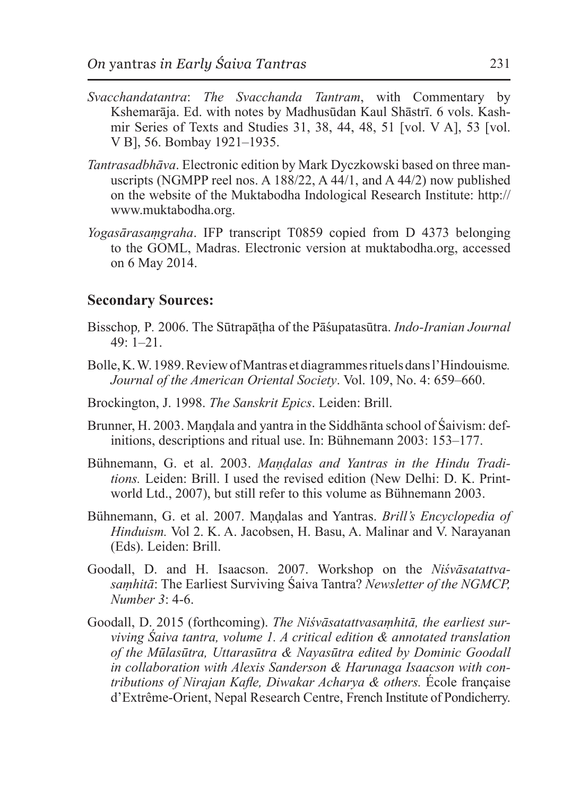- *Svacchandatantra*: *The Svacchanda Tantram*, with Commentary by Kshemarāja. Ed. with notes by Madhusūdan Kaul Shāstrī. 6 vols. Kashmir Series of Texts and Studies 31, 38, 44, 48, 51 [vol. V A], 53 [vol. V B], 56. Bombay 1921–1935.
- *Tantrasadbhāva*. Electronic edition by Mark Dyczkowski based on three manuscripts (NGMPP reel nos. A 188/22, A 44/1, and A 44/2) now published on the website of the Muktabodha Indological Research Institute: http:// www.muktabodha.org.
- *Yogasārasaṃgraha*. IFP transcript T0859 copied from D 4373 belonging to the GOML, Madras. Electronic version at muktabodha.org, accessed on 6 May 2014.

#### **Secondary Sources:**

- Bisschop*,* P*.* 2006. The Sūtrapāṭha of the Pāśupatasūtra. *Indo-Iranian Journal*   $49 \cdot 1 - 21$
- Bolle, K.W.1989. Reviewof Mantras et diagrammes rituels dans l'Hindouisme*. Journal of the American Oriental Society*. Vol. 109, No. 4: 659–660.
- Brockington, J. 1998. *The Sanskrit Epics*. Leiden: Brill.
- Brunner, H. 2003. Mandala and yantra in the Siddhānta school of Śaivism: definitions, descriptions and ritual use. In: Bühnemann 2003: 153–177.
- Bühnemann, G. et al. 2003. *Maṇḍalas and Yantras in the Hindu Traditions.* Leiden: Brill. I used the revised edition (New Delhi: D. K. Printworld Ltd., 2007), but still refer to this volume as Bühnemann 2003.
- Bühnemann, G. et al. 2007. Maṇḍalas and Yantras. *Brill's Encyclopedia of Hinduism.* Vol 2. K. A. Jacobsen, H. Basu, A. Malinar and V. Narayanan (Eds). Leiden: Brill.
- Goodall, D. and H. Isaacson. 2007. Workshop on the *Niśvāsatattvasaṃhitā*: The Earliest Surviving Śaiva Tantra? *Newsletter of the NGMCP, Number 3*: 4-6.
- Goodall, D. 2015 (forthcoming). *The Niśvāsatattvasaṃhitā, the earliest surviving Śaiva tantra, volume 1. A critical edition & annotated translation of the Mūlasūtra, Uttarasūtra & Nayasūtra edited by Dominic Goodall in collaboration with Alexis Sanderson & Harunaga Isaacson with contributions of Nirajan Kafle, Diwakar Acharya & others.* École française d'Extrême-Orient, Nepal Research Centre, French Institute of Pondicherry.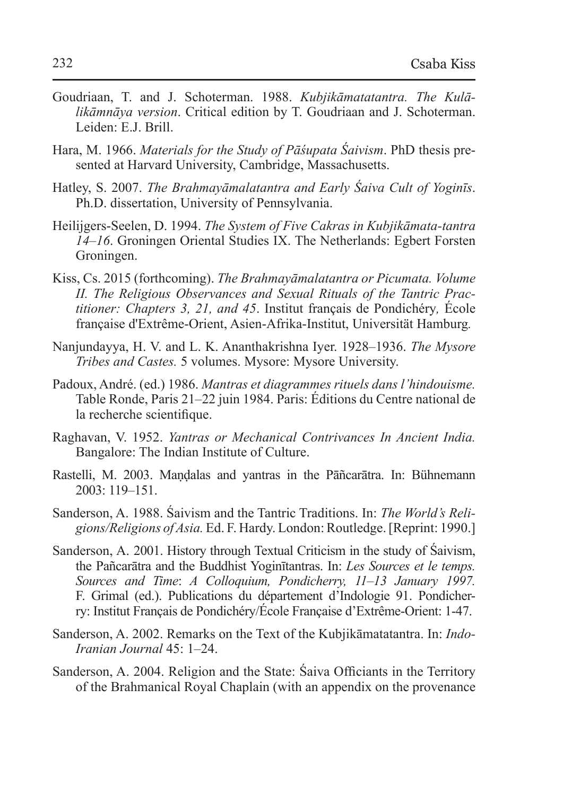- Goudriaan, T. and J. Schoterman. 1988. *Kubjikāmatatantra. The Kulālikāmnāya version*. Critical edition by T. Goudriaan and J. Schoterman. Leiden: E.J. Brill.
- Hara, M. 1966. *Materials for the Study of Pāśupata Śaivism*. PhD thesis presented at Harvard University, Cambridge, Massachusetts.
- Hatley, S. 2007. *The Brahmayāmalatantra and Early Śaiva Cult of Yoginīs*. Ph.D. dissertation, University of Pennsylvania.
- Heilijgers-Seelen, D. 1994. *The System of Five Cakras in Kubjikāmata-tantra 14*–*16*. Groningen Oriental Studies IX. The Netherlands: Egbert Forsten Groningen.
- Kiss, Cs. 2015 (forthcoming). *The Brahmayāmalatantra or Picumata. Volume II. The Religious Observances and Sexual Rituals of the Tantric Practitioner: Chapters 3, 21, and 45*. Institut français de Pondichéry*,* École française d'Extrême-Orient, Asien-Afrika-Institut, Universität Hamburg*.*
- Nanjundayya, H. V. and L. K. Ananthakrishna Iyer. 1928–1936. *The Mysore Tribes and Castes.* 5 volumes. Mysore: Mysore University.
- Padoux, André. (ed.) 1986. *Mantras et diagrammes rituels dans l'hindouisme.*  Table Ronde, Paris 21–22 juin 1984. Paris: Éditions du Centre national de la recherche scientifique.
- Raghavan, V. 1952. *Yantras or Mechanical Contrivances In Ancient India.* Bangalore: The Indian Institute of Culture.
- Rastelli, M. 2003. Maṇḍalas and yantras in the Pāñcarātra. In: Bühnemann  $2003 \cdot 119 - 151$
- Sanderson, A. 1988. Śaivism and the Tantric Traditions. In: *The World's Religions/Religions of Asia.* Ed. F. Hardy. London:Routledge. [Reprint: 1990.]
- Sanderson, A. 2001. History through Textual Criticism in the study of Śaivism, the Pañcarātra and the Buddhist Yoginītantras. In: *Les Sources et le temps. Sources and Time*: *A Colloquium, Pondicherry, 11*–*13 January 1997.*  F. Grimal (ed.). Publications du département d'Indologie 91. Pondicherry: Institut Français de Pondichéry/École Française d'Extrême-Orient: 1-47.
- Sanderson, A. 2002. Remarks on the Text of the Kubjikāmatatantra. In: *Indo-Iranian Journal* 45: 1–24.
- Sanderson, A. 2004. Religion and the State: Śaiva Officiants in the Territory of the Brahmanical Royal Chaplain (with an appendix on the provenance